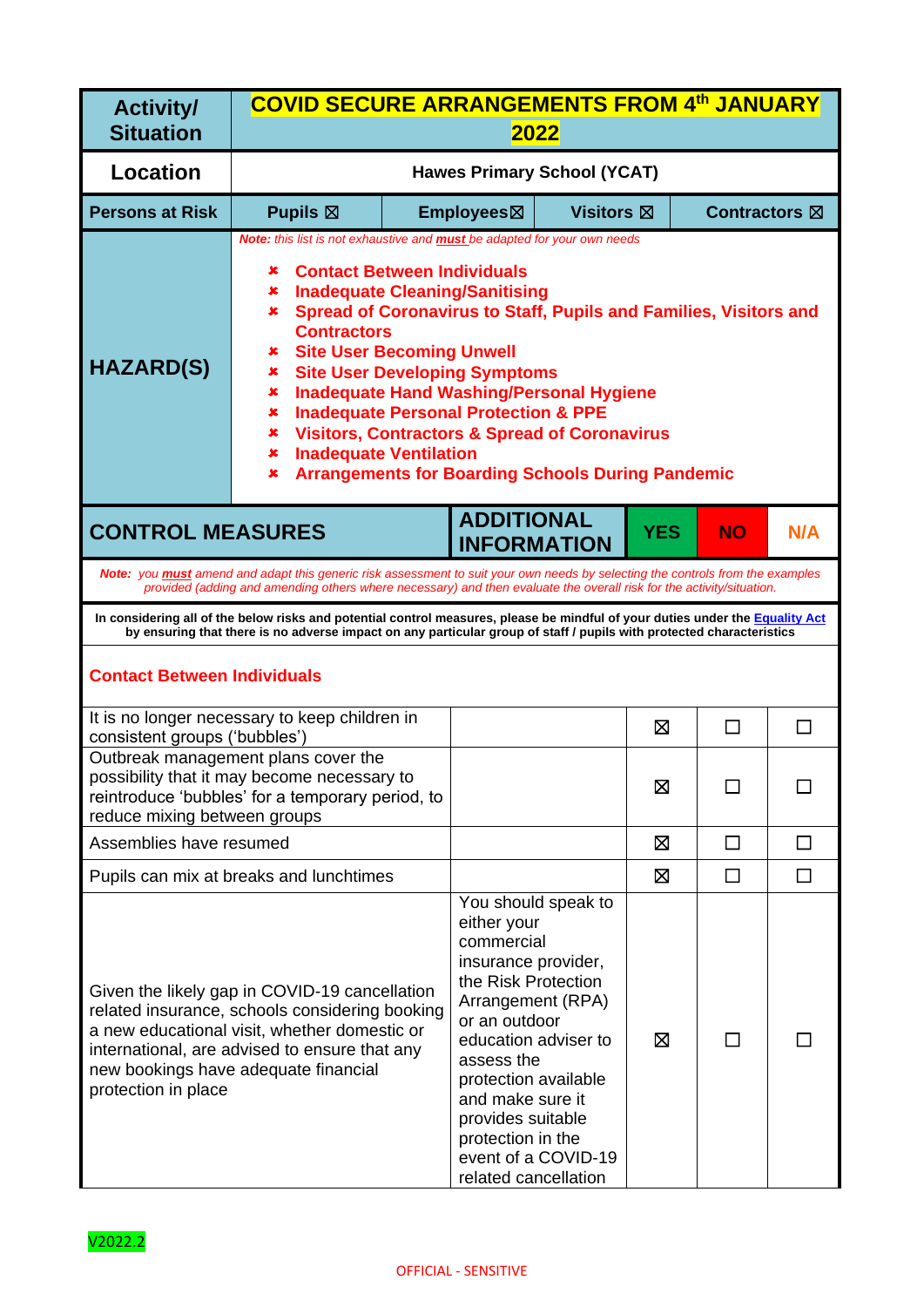| <b>Activity/</b><br><b>Situation</b>                                                                                                                                                                                                                                                                                                                                                                                                                                                                                                                                                                                                                                       |                                                                                                                                                                                                                                                       | <b>COVID SECURE ARRANGEMENTS FROM 4th JANUARY</b><br>2022 |                                                                                                                                                                                                                                           |                                                                    |            |                         |        |
|----------------------------------------------------------------------------------------------------------------------------------------------------------------------------------------------------------------------------------------------------------------------------------------------------------------------------------------------------------------------------------------------------------------------------------------------------------------------------------------------------------------------------------------------------------------------------------------------------------------------------------------------------------------------------|-------------------------------------------------------------------------------------------------------------------------------------------------------------------------------------------------------------------------------------------------------|-----------------------------------------------------------|-------------------------------------------------------------------------------------------------------------------------------------------------------------------------------------------------------------------------------------------|--------------------------------------------------------------------|------------|-------------------------|--------|
| Location                                                                                                                                                                                                                                                                                                                                                                                                                                                                                                                                                                                                                                                                   |                                                                                                                                                                                                                                                       |                                                           |                                                                                                                                                                                                                                           | <b>Hawes Primary School (YCAT)</b>                                 |            |                         |        |
| <b>Persons at Risk</b>                                                                                                                                                                                                                                                                                                                                                                                                                                                                                                                                                                                                                                                     | Pupils $\boxtimes$                                                                                                                                                                                                                                    |                                                           | Employees⊠                                                                                                                                                                                                                                | <b>Visitors</b> ⊠                                                  |            | Contractors $\boxtimes$ |        |
| Note: this list is not exhaustive and <b>must</b> be adapted for your own needs<br><b>Contact Between Individuals</b><br>x<br><b>Inadequate Cleaning/Sanitising</b><br>×<br>Spread of Coronavirus to Staff, Pupils and Families, Visitors and<br>×<br><b>Contractors</b><br><b>Site User Becoming Unwell</b><br>x<br><b>HAZARD(S)</b><br><b>Site User Developing Symptoms</b><br>×<br><b>Inadequate Hand Washing/Personal Hygiene</b><br>×<br><b>Inadequate Personal Protection &amp; PPE</b><br>×<br><b>Visitors, Contractors &amp; Spread of Coronavirus</b><br>×<br><b>Inadequate Ventilation</b><br>×<br><b>Arrangements for Boarding Schools During Pandemic</b><br>× |                                                                                                                                                                                                                                                       |                                                           |                                                                                                                                                                                                                                           |                                                                    |            |                         |        |
| <b>CONTROL MEASURES</b>                                                                                                                                                                                                                                                                                                                                                                                                                                                                                                                                                                                                                                                    |                                                                                                                                                                                                                                                       |                                                           | <b>ADDITIONAL</b>                                                                                                                                                                                                                         | <b>INFORMATION</b>                                                 | <b>YES</b> | <b>NO</b>               | N/A    |
| Note: you <b>must</b> amend and adapt this generic risk assessment to suit your own needs by selecting the controls from the examples<br>provided (adding and amending others where necessary) and then evaluate the overall risk for the activity/situation.                                                                                                                                                                                                                                                                                                                                                                                                              |                                                                                                                                                                                                                                                       |                                                           |                                                                                                                                                                                                                                           |                                                                    |            |                         |        |
|                                                                                                                                                                                                                                                                                                                                                                                                                                                                                                                                                                                                                                                                            | In considering all of the below risks and potential control measures, please be mindful of your duties under the Equality Act<br>by ensuring that there is no adverse impact on any particular group of staff / pupils with protected characteristics |                                                           |                                                                                                                                                                                                                                           |                                                                    |            |                         |        |
| <b>Contact Between Individuals</b>                                                                                                                                                                                                                                                                                                                                                                                                                                                                                                                                                                                                                                         |                                                                                                                                                                                                                                                       |                                                           |                                                                                                                                                                                                                                           |                                                                    |            |                         |        |
| consistent groups ('bubbles')                                                                                                                                                                                                                                                                                                                                                                                                                                                                                                                                                                                                                                              | It is no longer necessary to keep children in                                                                                                                                                                                                         |                                                           |                                                                                                                                                                                                                                           |                                                                    | X          | $\Box$                  | $\Box$ |
| reduce mixing between groups                                                                                                                                                                                                                                                                                                                                                                                                                                                                                                                                                                                                                                               | Outbreak management plans cover the<br>possibility that it may become necessary to<br>reintroduce 'bubbles' for a temporary period, to                                                                                                                |                                                           |                                                                                                                                                                                                                                           |                                                                    | 区          | $\mathbf{I}$            |        |
| Assemblies have resumed                                                                                                                                                                                                                                                                                                                                                                                                                                                                                                                                                                                                                                                    |                                                                                                                                                                                                                                                       |                                                           |                                                                                                                                                                                                                                           |                                                                    | Ø          | $\Box$                  | П      |
|                                                                                                                                                                                                                                                                                                                                                                                                                                                                                                                                                                                                                                                                            | Pupils can mix at breaks and lunchtimes                                                                                                                                                                                                               |                                                           |                                                                                                                                                                                                                                           |                                                                    | Ø          | $\Box$                  | $\Box$ |
| protection in place                                                                                                                                                                                                                                                                                                                                                                                                                                                                                                                                                                                                                                                        | Given the likely gap in COVID-19 cancellation<br>related insurance, schools considering booking<br>a new educational visit, whether domestic or<br>international, are advised to ensure that any<br>new bookings have adequate financial              |                                                           | either your<br>commercial<br>insurance provider,<br>the Risk Protection<br>Arrangement (RPA)<br>or an outdoor<br>assess the<br>protection available<br>and make sure it<br>provides suitable<br>protection in the<br>related cancellation | You should speak to<br>education adviser to<br>event of a COVID-19 | X          | $\Box$                  |        |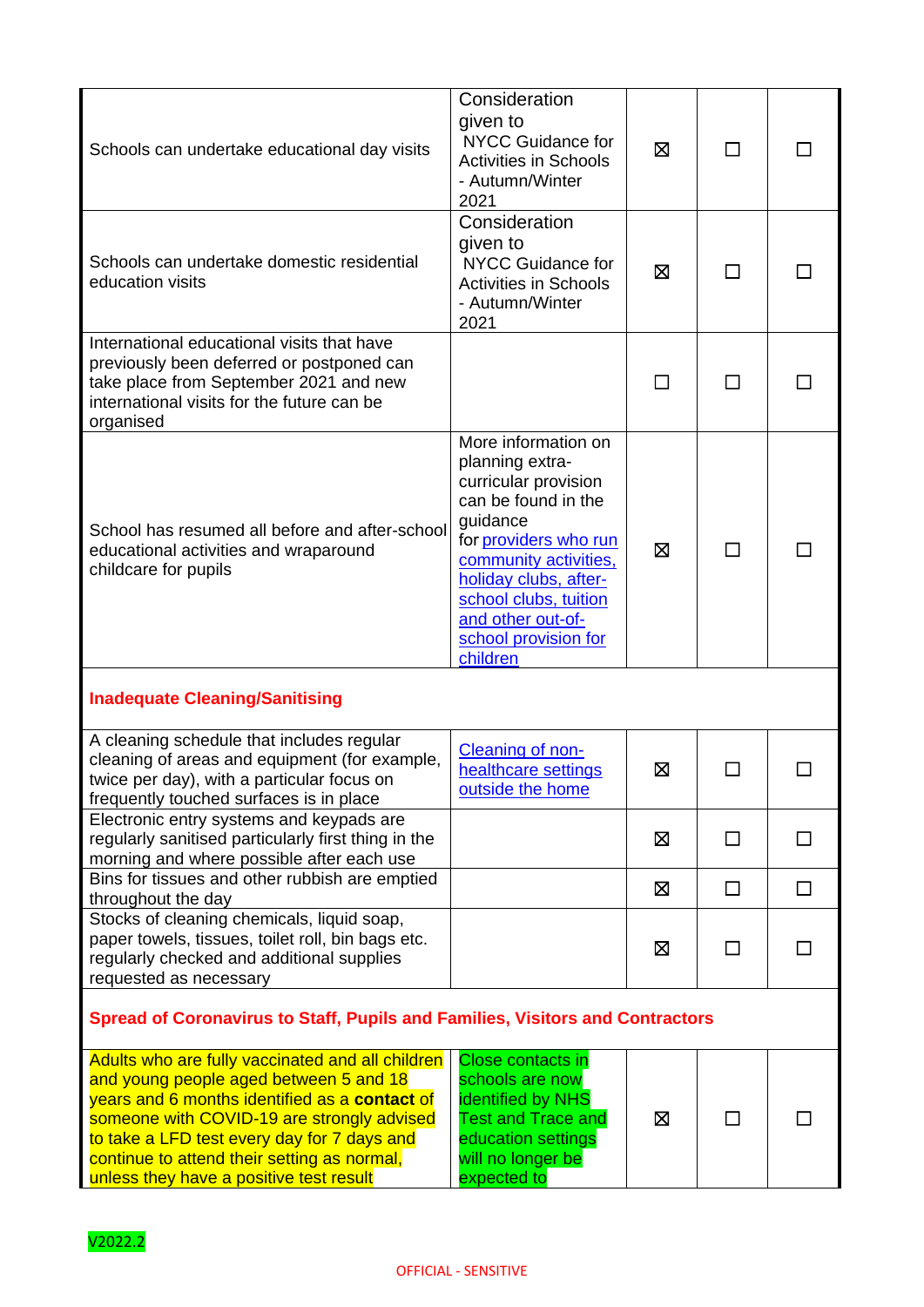| Schools can undertake educational day visits                                                                                                                                                                                                                                                                                       | Consideration<br>given to<br><b>NYCC Guidance for</b><br><b>Activities in Schools</b><br>- Autumn/Winter<br>2021                                                                                                                                               | X           | П            |   |
|------------------------------------------------------------------------------------------------------------------------------------------------------------------------------------------------------------------------------------------------------------------------------------------------------------------------------------|----------------------------------------------------------------------------------------------------------------------------------------------------------------------------------------------------------------------------------------------------------------|-------------|--------------|---|
| Schools can undertake domestic residential<br>education visits                                                                                                                                                                                                                                                                     | Consideration<br>given to<br><b>NYCC Guidance for</b><br><b>Activities in Schools</b><br>- Autumn/Winter<br>2021                                                                                                                                               | X           | П            |   |
| International educational visits that have<br>previously been deferred or postponed can<br>take place from September 2021 and new<br>international visits for the future can be<br>organised                                                                                                                                       |                                                                                                                                                                                                                                                                |             | $\mathsf{L}$ |   |
| School has resumed all before and after-school<br>educational activities and wraparound<br>childcare for pupils                                                                                                                                                                                                                    | More information on<br>planning extra-<br>curricular provision<br>can be found in the<br>guidance<br>for providers who run<br>community activities.<br>holiday clubs, after-<br>school clubs, tuition<br>and other out-of-<br>school provision for<br>children | $\boxtimes$ | ΙI           |   |
| <b>Inadequate Cleaning/Sanitising</b>                                                                                                                                                                                                                                                                                              |                                                                                                                                                                                                                                                                |             |              |   |
| A cleaning schedule that includes regular<br>cleaning of areas and equipment (for example,<br>twice per day), with a particular focus on<br>frequently touched surfaces is in place                                                                                                                                                | Cleaning of non-<br>healthcare settings<br>outside the home                                                                                                                                                                                                    | ⊠           |              |   |
| Electronic entry systems and keypads are<br>regularly sanitised particularly first thing in the<br>morning and where possible after each use                                                                                                                                                                                       |                                                                                                                                                                                                                                                                | ⊠           | П            |   |
| Bins for tissues and other rubbish are emptied<br>throughout the day                                                                                                                                                                                                                                                               |                                                                                                                                                                                                                                                                | $\boxtimes$ | $\Box$       | П |
| Stocks of cleaning chemicals, liquid soap,<br>paper towels, tissues, toilet roll, bin bags etc.<br>regularly checked and additional supplies<br>requested as necessary                                                                                                                                                             |                                                                                                                                                                                                                                                                | ⊠           | $\Box$       |   |
| Spread of Coronavirus to Staff, Pupils and Families, Visitors and Contractors                                                                                                                                                                                                                                                      |                                                                                                                                                                                                                                                                |             |              |   |
| Adults who are fully vaccinated and all children<br>and young people aged between 5 and 18<br>years and 6 months identified as a contact of<br>someone with COVID-19 are strongly advised<br>to take a LFD test every day for 7 days and<br>continue to attend their setting as normal,<br>unless they have a positive test result | Close contacts in<br>schools are now<br><b>identified by NHS</b><br><b>Test and Trace and</b><br>education settings<br>will no longer be<br>expected to                                                                                                        | X           | П            |   |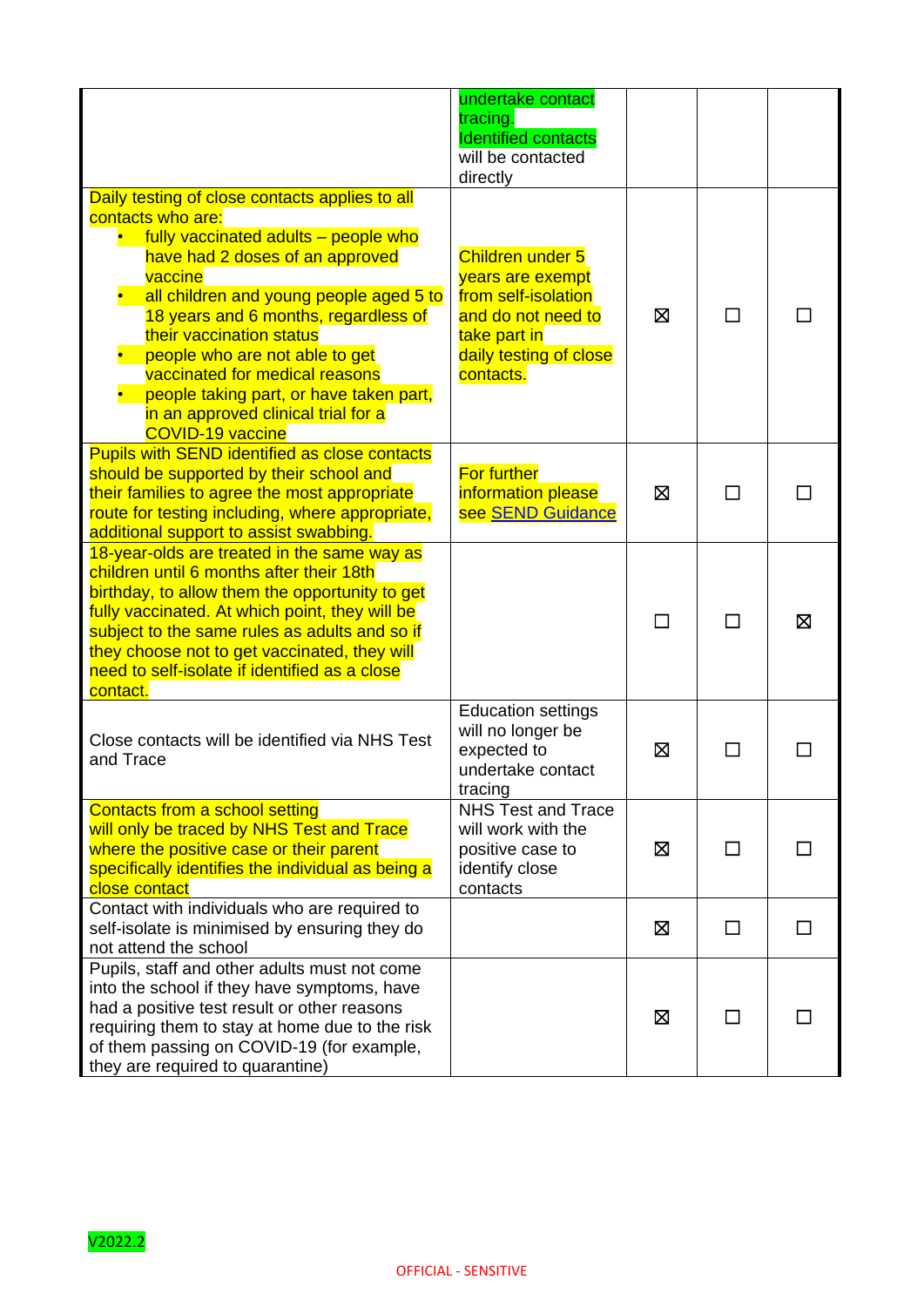|                                                                                                                                                                                                                                                                                                                                                                                      | undertake contact                                                                                                                               |   |              |   |
|--------------------------------------------------------------------------------------------------------------------------------------------------------------------------------------------------------------------------------------------------------------------------------------------------------------------------------------------------------------------------------------|-------------------------------------------------------------------------------------------------------------------------------------------------|---|--------------|---|
|                                                                                                                                                                                                                                                                                                                                                                                      | tracing.<br><b>Identified contacts</b><br>will be contacted<br>directly                                                                         |   |              |   |
| Daily testing of close contacts applies to all                                                                                                                                                                                                                                                                                                                                       |                                                                                                                                                 |   |              |   |
| contacts who are:                                                                                                                                                                                                                                                                                                                                                                    |                                                                                                                                                 |   |              |   |
| • fully vaccinated adults - people who<br>have had 2 doses of an approved<br>vaccine<br>all children and young people aged 5 to<br>18 years and 6 months, regardless of<br>their vaccination status<br>people who are not able to get<br>vaccinated for medical reasons<br>people taking part, or have taken part,<br>in an approved clinical trial for a<br><b>COVID-19 vaccine</b> | <b>Children under 5</b><br>years are exempt<br>from self-isolation<br>and do not need to<br>take part in<br>daily testing of close<br>contacts. | 区 | ΙI           |   |
| <b>Pupils with SEND identified as close contacts</b>                                                                                                                                                                                                                                                                                                                                 |                                                                                                                                                 |   |              |   |
| should be supported by their school and<br>their families to agree the most appropriate<br>route for testing including, where appropriate,<br>additional support to assist swabbing.                                                                                                                                                                                                 | <b>For further</b><br>information please<br>see SEND Guidance                                                                                   | X |              |   |
| 18-year-olds are treated in the same way as                                                                                                                                                                                                                                                                                                                                          |                                                                                                                                                 |   |              |   |
| children until 6 months after their 18th<br>birthday, to allow them the opportunity to get<br>fully vaccinated. At which point, they will be<br>subject to the same rules as adults and so if<br>they choose not to get vaccinated, they will<br>need to self-isolate if identified as a close<br>contact.                                                                           |                                                                                                                                                 |   | П            | ⊠ |
|                                                                                                                                                                                                                                                                                                                                                                                      | <b>Education settings</b>                                                                                                                       |   |              |   |
| Close contacts will be identified via NHS Test<br>and Trace                                                                                                                                                                                                                                                                                                                          | will no longer be<br>expected to<br>undertake contact<br>tracing                                                                                | Ø |              |   |
| Contacts from a school setting                                                                                                                                                                                                                                                                                                                                                       | <b>NHS Test and Trace</b>                                                                                                                       |   |              |   |
| will only be traced by NHS Test and Trace<br>where the positive case or their parent<br>specifically identifies the individual as being a<br>close contact                                                                                                                                                                                                                           | will work with the<br>positive case to<br>identify close<br>contacts                                                                            | ⊠ | ΙI           |   |
| Contact with individuals who are required to<br>self-isolate is minimised by ensuring they do<br>not attend the school                                                                                                                                                                                                                                                               |                                                                                                                                                 | ⊠ | □            |   |
| Pupils, staff and other adults must not come<br>into the school if they have symptoms, have<br>had a positive test result or other reasons<br>requiring them to stay at home due to the risk<br>of them passing on COVID-19 (for example,<br>they are required to quarantine)                                                                                                        |                                                                                                                                                 | ⊠ | $\mathsf{L}$ |   |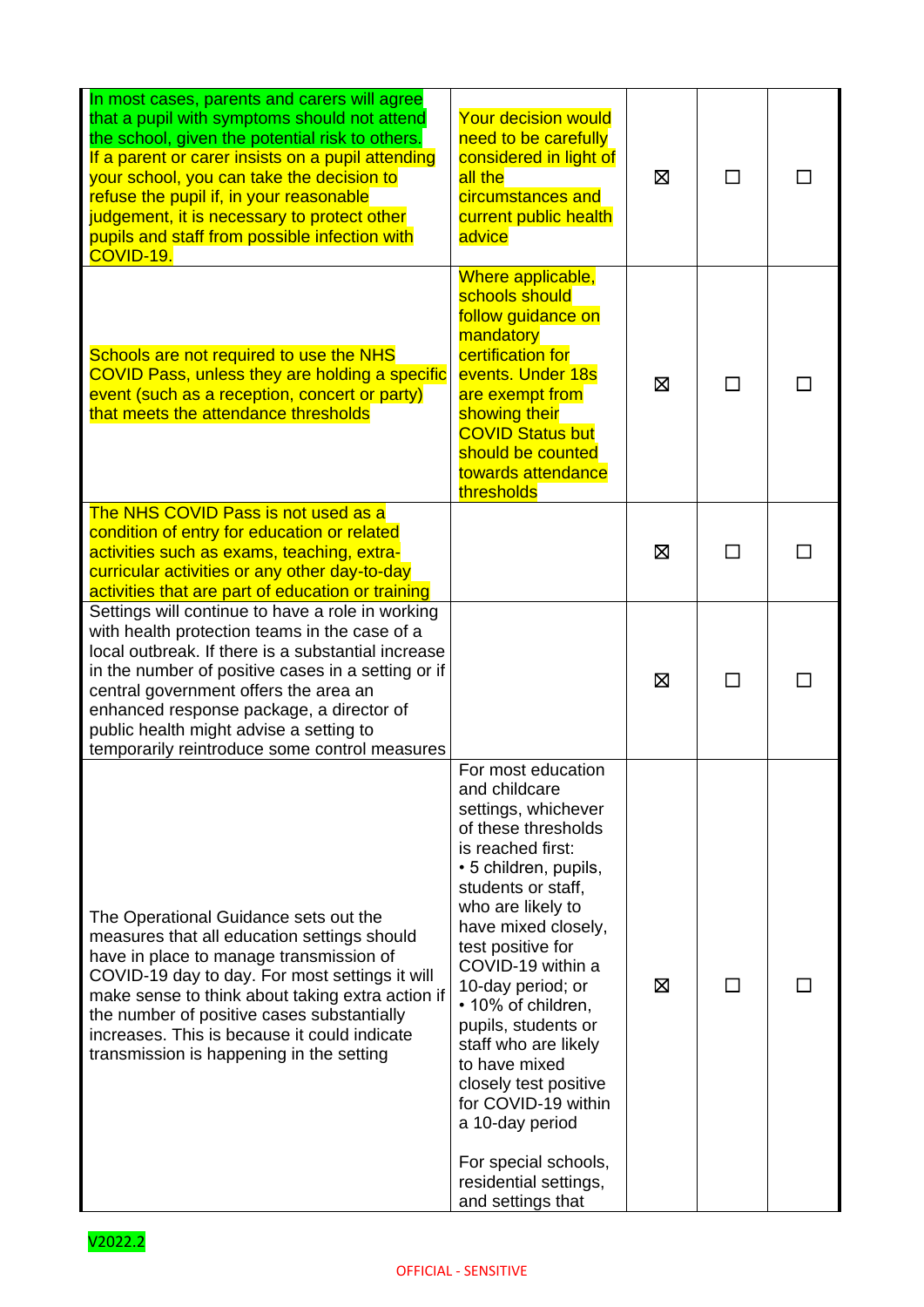| In most cases, parents and carers will agree<br>that a pupil with symptoms should not attend<br>the school, given the potential risk to others.<br>If a parent or carer insists on a pupil attending<br>your school, you can take the decision to<br>refuse the pupil if, in your reasonable<br>judgement, it is necessary to protect other                                                    | <b>Your decision would</b><br>need to be carefully<br>considered in light of<br>all the<br>circumstances and<br>current public health                                                                                                                                                                                                                                                                                                                                                           | X |              |  |
|------------------------------------------------------------------------------------------------------------------------------------------------------------------------------------------------------------------------------------------------------------------------------------------------------------------------------------------------------------------------------------------------|-------------------------------------------------------------------------------------------------------------------------------------------------------------------------------------------------------------------------------------------------------------------------------------------------------------------------------------------------------------------------------------------------------------------------------------------------------------------------------------------------|---|--------------|--|
| pupils and staff from possible infection with<br>COVID-19.                                                                                                                                                                                                                                                                                                                                     | advice                                                                                                                                                                                                                                                                                                                                                                                                                                                                                          |   |              |  |
| Schools are not required to use the NHS<br>COVID Pass, unless they are holding a specific<br>event (such as a reception, concert or party)<br>that meets the attendance thresholds                                                                                                                                                                                                             | Where applicable,<br>schools should<br>follow guidance on<br>mandatory<br>certification for<br>events. Under 18s<br>are exempt from<br>showing their<br><b>COVID Status but</b><br>should be counted<br>towards attendance<br>thresholds                                                                                                                                                                                                                                                        | X | $\mathsf{L}$ |  |
| The NHS COVID Pass is not used as a<br>condition of entry for education or related<br>activities such as exams, teaching, extra-<br>curricular activities or any other day-to-day<br>activities that are part of education or training                                                                                                                                                         |                                                                                                                                                                                                                                                                                                                                                                                                                                                                                                 | X |              |  |
| Settings will continue to have a role in working<br>with health protection teams in the case of a<br>local outbreak. If there is a substantial increase<br>in the number of positive cases in a setting or if<br>central government offers the area an<br>enhanced response package, a director of<br>public health might advise a setting to<br>temporarily reintroduce some control measures |                                                                                                                                                                                                                                                                                                                                                                                                                                                                                                 | ⊠ |              |  |
| The Operational Guidance sets out the<br>measures that all education settings should<br>have in place to manage transmission of<br>COVID-19 day to day. For most settings it will<br>make sense to think about taking extra action if<br>the number of positive cases substantially<br>increases. This is because it could indicate<br>transmission is happening in the setting                | For most education<br>and childcare<br>settings, whichever<br>of these thresholds<br>is reached first:<br>• 5 children, pupils,<br>students or staff,<br>who are likely to<br>have mixed closely,<br>test positive for<br>COVID-19 within a<br>10-day period; or<br>• 10% of children,<br>pupils, students or<br>staff who are likely<br>to have mixed<br>closely test positive<br>for COVID-19 within<br>a 10-day period<br>For special schools,<br>residential settings,<br>and settings that | ⊠ | ΙI           |  |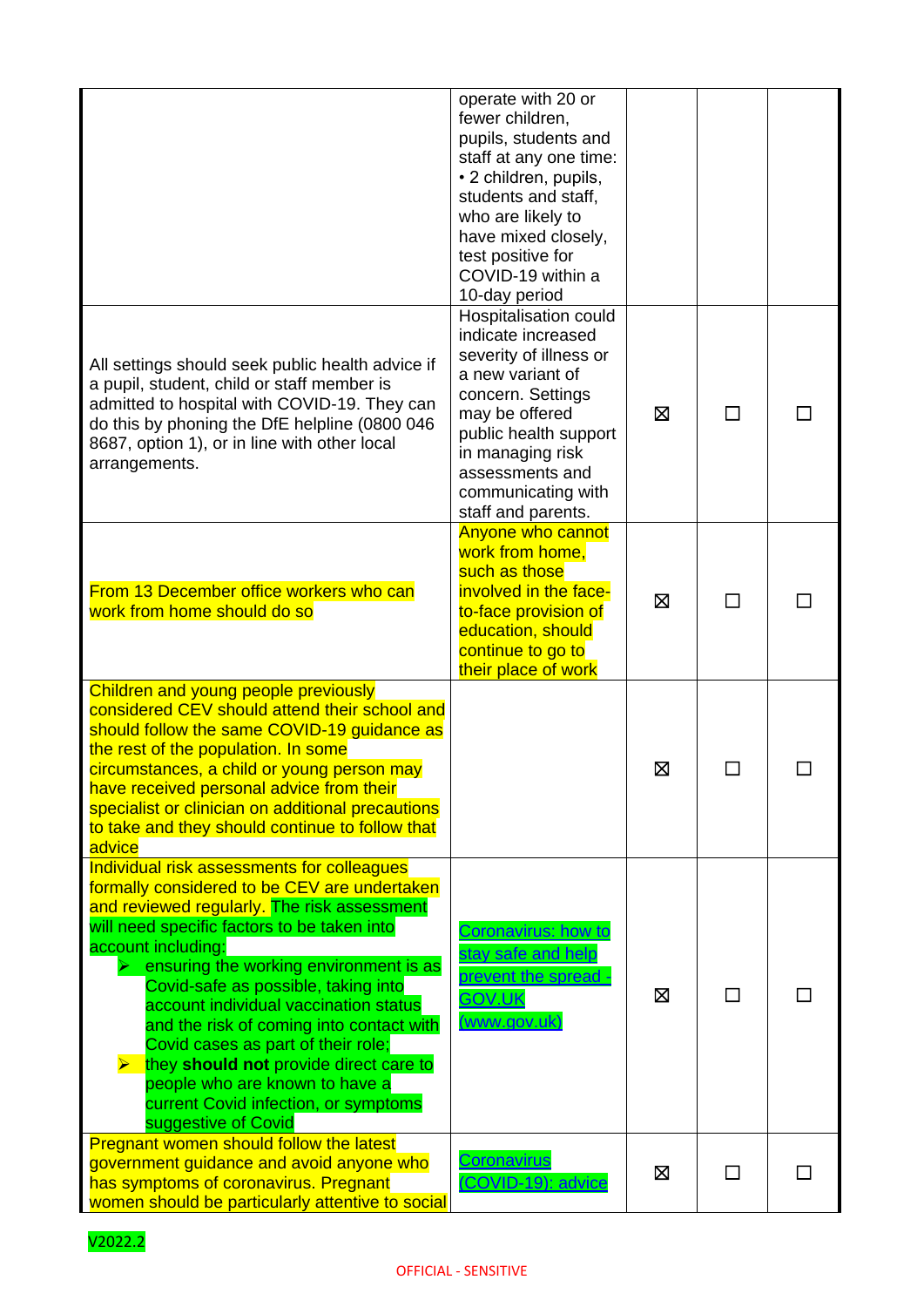|                                                                                                                                                                                                                                                                                                                                                                                                                                                                                                                                                                                        | operate with 20 or<br>fewer children,<br>pupils, students and<br>staff at any one time:<br>• 2 children, pupils,                                                                                                                                              |   |    |  |
|----------------------------------------------------------------------------------------------------------------------------------------------------------------------------------------------------------------------------------------------------------------------------------------------------------------------------------------------------------------------------------------------------------------------------------------------------------------------------------------------------------------------------------------------------------------------------------------|---------------------------------------------------------------------------------------------------------------------------------------------------------------------------------------------------------------------------------------------------------------|---|----|--|
|                                                                                                                                                                                                                                                                                                                                                                                                                                                                                                                                                                                        | students and staff.<br>who are likely to<br>have mixed closely,<br>test positive for<br>COVID-19 within a                                                                                                                                                     |   |    |  |
| All settings should seek public health advice if<br>a pupil, student, child or staff member is<br>admitted to hospital with COVID-19. They can<br>do this by phoning the DfE helpline (0800 046<br>8687, option 1), or in line with other local<br>arrangements.                                                                                                                                                                                                                                                                                                                       | 10-day period<br>Hospitalisation could<br>indicate increased<br>severity of illness or<br>a new variant of<br>concern. Settings<br>may be offered<br>public health support<br>in managing risk<br>assessments and<br>communicating with<br>staff and parents. | ⊠ | ΙI |  |
| From 13 December office workers who can<br>work from home should do so                                                                                                                                                                                                                                                                                                                                                                                                                                                                                                                 | <b>Anyone who cannot</b><br>work from home,<br>such as those<br>involved in the face-<br>to-face provision of<br>education, should<br>continue to go to<br>their place of work                                                                                | ⊠ | П  |  |
| Children and young people previously<br>considered CEV should attend their school and<br>should follow the same COVID-19 guidance as<br>the rest of the population. In some<br>circumstances, a child or young person may<br>have received personal advice from their<br>specialist or clinician on additional precautions<br>to take and they should continue to follow that<br>advice                                                                                                                                                                                                |                                                                                                                                                                                                                                                               | 区 |    |  |
| Individual risk assessments for colleagues<br>formally considered to be CEV are undertaken<br>and reviewed regularly. The risk assessment<br>will need specific factors to be taken into<br>account including:<br>ensuring the working environment is as<br>Covid-safe as possible, taking into<br>account individual vaccination status<br>and the risk of coming into contact with<br>Covid cases as part of their role;<br>$\triangleright$ they should not provide direct care to<br>people who are known to have a<br>current Covid infection, or symptoms<br>suggestive of Covid | Coronavirus: how to<br>stay safe and help<br>prevent the spread<br><b>GOV.UK</b><br>(www.gov.uk)                                                                                                                                                              | Ø | П  |  |
| <b>Pregnant women should follow the latest</b><br>government guidance and avoid anyone who<br>has symptoms of coronavirus. Pregnant<br>women should be particularly attentive to social                                                                                                                                                                                                                                                                                                                                                                                                | <b>Coronavirus</b><br>(COVID-19): advice                                                                                                                                                                                                                      | X | П  |  |

V2022.2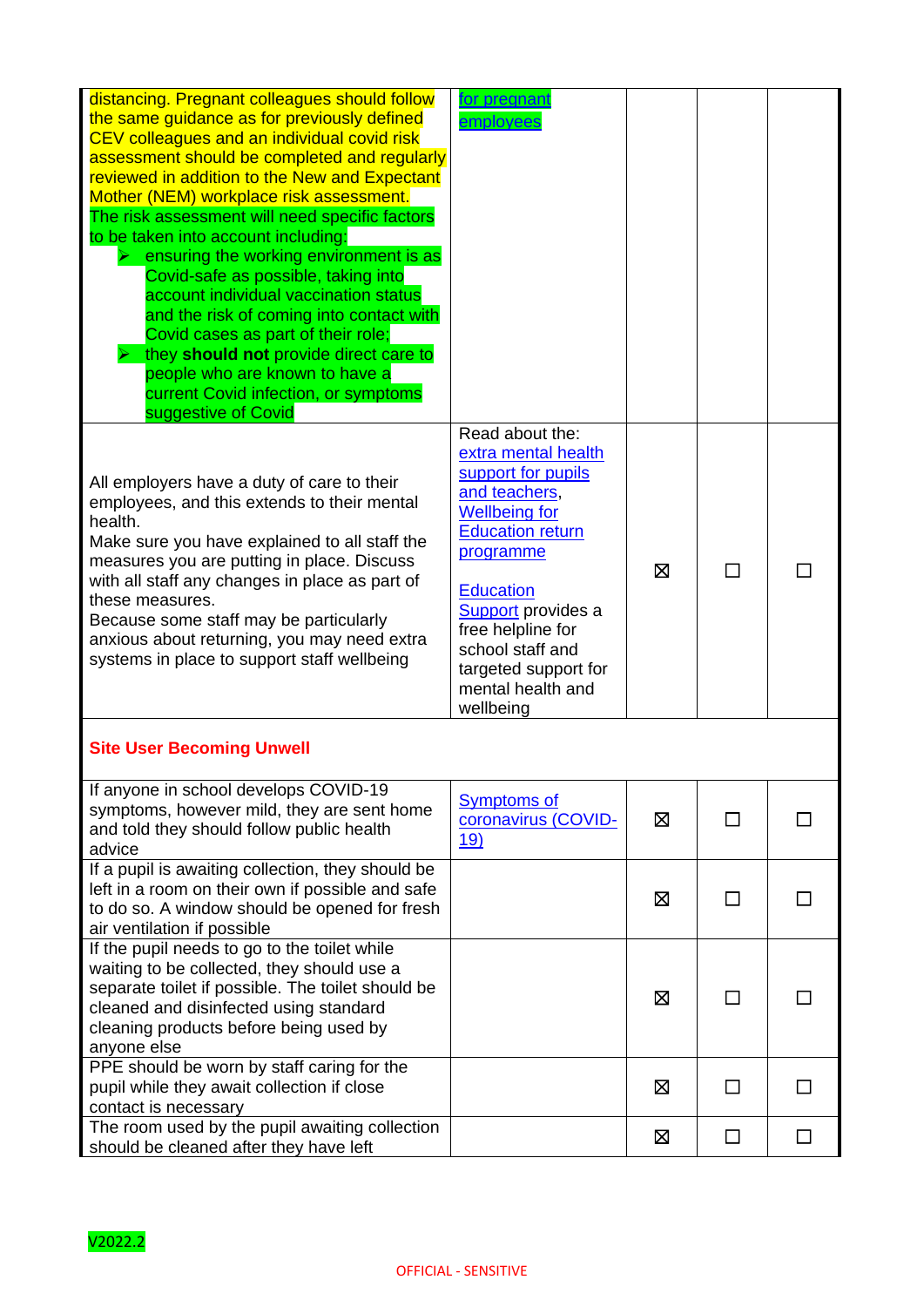| distancing. Pregnant colleagues should follow<br>the same guidance as for previously defined<br>CEV colleagues and an individual covid risk<br>assessment should be completed and regularly<br>reviewed in addition to the New and Expectant<br>Mother (NEM) workplace risk assessment.<br>The risk assessment will need specific factors<br>to be taken into account including:<br>ensuring the working environment is as<br>Covid-safe as possible, taking into<br>account individual vaccination status<br>and the risk of coming into contact with<br>Covid cases as part of their role;<br>$\triangleright$ they should not provide direct care to<br>people who are known to have a<br>current Covid infection, or symptoms<br>suggestive of Covid | <u>for pregnant</u><br>employees                                                                                                                                                                                                                                                                  |   |              |  |
|----------------------------------------------------------------------------------------------------------------------------------------------------------------------------------------------------------------------------------------------------------------------------------------------------------------------------------------------------------------------------------------------------------------------------------------------------------------------------------------------------------------------------------------------------------------------------------------------------------------------------------------------------------------------------------------------------------------------------------------------------------|---------------------------------------------------------------------------------------------------------------------------------------------------------------------------------------------------------------------------------------------------------------------------------------------------|---|--------------|--|
| All employers have a duty of care to their<br>employees, and this extends to their mental<br>health.<br>Make sure you have explained to all staff the<br>measures you are putting in place. Discuss<br>with all staff any changes in place as part of<br>these measures.<br>Because some staff may be particularly<br>anxious about returning, you may need extra<br>systems in place to support staff wellbeing                                                                                                                                                                                                                                                                                                                                         | Read about the:<br>extra mental health<br>support for pupils<br>and teachers,<br><b>Wellbeing for</b><br><b>Education return</b><br>programme<br><b>Education</b><br><b>Support</b> provides a<br>free helpline for<br>school staff and<br>targeted support for<br>mental health and<br>wellbeing | X | П            |  |
| <b>Site User Becoming Unwell</b>                                                                                                                                                                                                                                                                                                                                                                                                                                                                                                                                                                                                                                                                                                                         |                                                                                                                                                                                                                                                                                                   |   |              |  |
| If anyone in school develops COVID-19<br>symptoms, however mild, they are sent home<br>and told they should follow public health<br>advice                                                                                                                                                                                                                                                                                                                                                                                                                                                                                                                                                                                                               | <b>Symptoms of</b><br>coronavirus (COVID-<br><u>19)</u>                                                                                                                                                                                                                                           | X | $\Box$       |  |
| If a pupil is awaiting collection, they should be<br>left in a room on their own if possible and safe<br>to do so. A window should be opened for fresh<br>air ventilation if possible                                                                                                                                                                                                                                                                                                                                                                                                                                                                                                                                                                    |                                                                                                                                                                                                                                                                                                   | ⊠ | $\Box$       |  |
| If the pupil needs to go to the toilet while<br>waiting to be collected, they should use a<br>separate toilet if possible. The toilet should be<br>cleaned and disinfected using standard<br>cleaning products before being used by<br>anyone else                                                                                                                                                                                                                                                                                                                                                                                                                                                                                                       |                                                                                                                                                                                                                                                                                                   | ⊠ | $\mathsf{L}$ |  |
| PPE should be worn by staff caring for the<br>pupil while they await collection if close<br>contact is necessary                                                                                                                                                                                                                                                                                                                                                                                                                                                                                                                                                                                                                                         |                                                                                                                                                                                                                                                                                                   | ⊠ | ΙI           |  |
| The room used by the pupil awaiting collection<br>should be cleaned after they have left                                                                                                                                                                                                                                                                                                                                                                                                                                                                                                                                                                                                                                                                 |                                                                                                                                                                                                                                                                                                   | Ø | $\Box$       |  |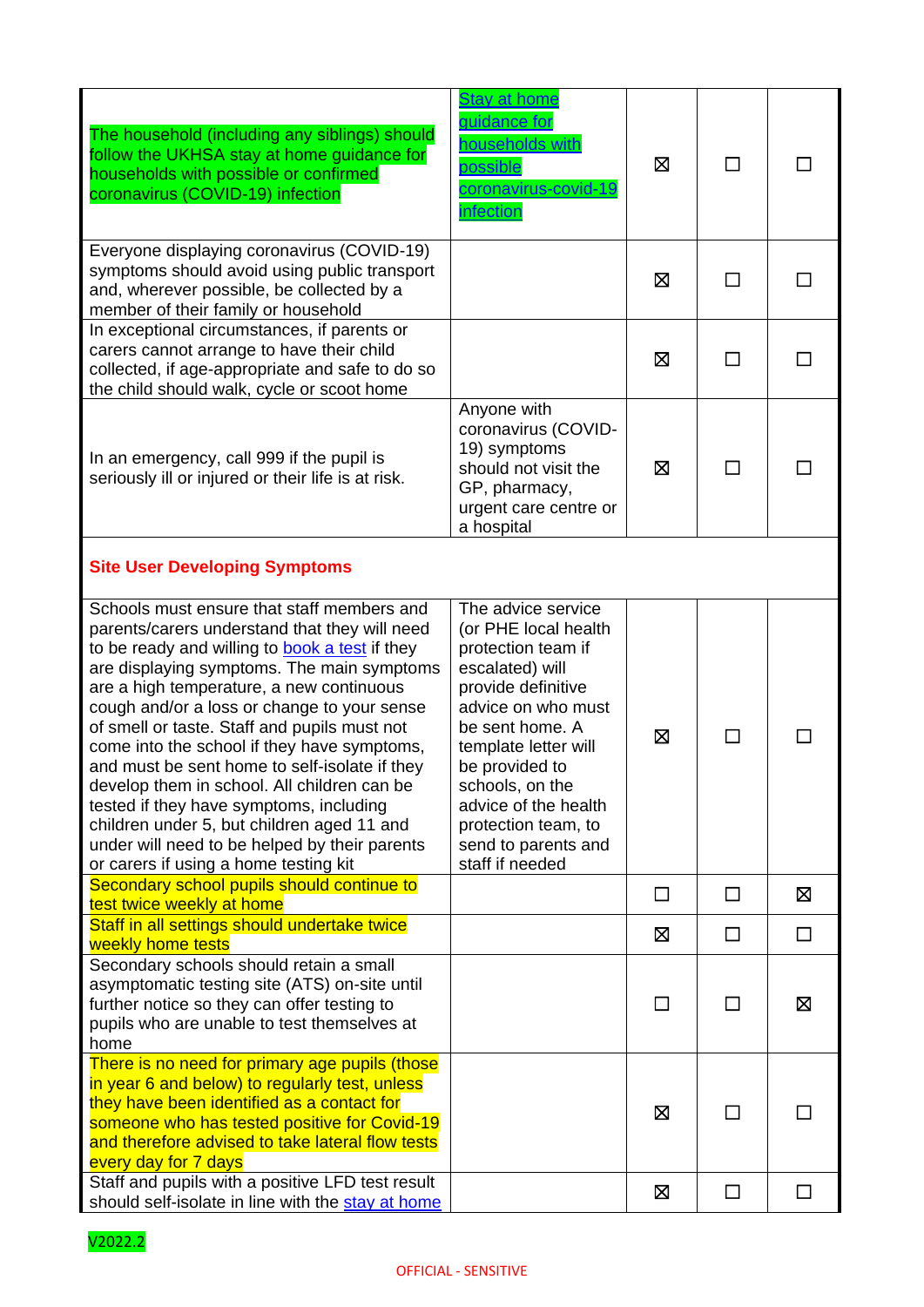| The household (including any siblings) should<br>follow the UKHSA stay at home guidance for<br>households with possible or confirmed<br>coronavirus (COVID-19) infection                                                                                                                                                                                                                                                                                                                                                                                                                                                                                                 | <b>Stay at home</b><br>guidance for<br>households with<br><b>possible</b><br>coronavirus-covid-19<br>infection                                                                                                                                                                                           | X           | □      |   |  |
|--------------------------------------------------------------------------------------------------------------------------------------------------------------------------------------------------------------------------------------------------------------------------------------------------------------------------------------------------------------------------------------------------------------------------------------------------------------------------------------------------------------------------------------------------------------------------------------------------------------------------------------------------------------------------|----------------------------------------------------------------------------------------------------------------------------------------------------------------------------------------------------------------------------------------------------------------------------------------------------------|-------------|--------|---|--|
| Everyone displaying coronavirus (COVID-19)<br>symptoms should avoid using public transport<br>and, wherever possible, be collected by a<br>member of their family or household                                                                                                                                                                                                                                                                                                                                                                                                                                                                                           |                                                                                                                                                                                                                                                                                                          | 区           | П      |   |  |
| In exceptional circumstances, if parents or<br>carers cannot arrange to have their child<br>collected, if age-appropriate and safe to do so<br>the child should walk, cycle or scoot home                                                                                                                                                                                                                                                                                                                                                                                                                                                                                |                                                                                                                                                                                                                                                                                                          | 区           | П      |   |  |
| In an emergency, call 999 if the pupil is<br>seriously ill or injured or their life is at risk.                                                                                                                                                                                                                                                                                                                                                                                                                                                                                                                                                                          | Anyone with<br>coronavirus (COVID-<br>19) symptoms<br>should not visit the<br>GP, pharmacy,<br>urgent care centre or<br>a hospital                                                                                                                                                                       | 区           | П      |   |  |
| <b>Site User Developing Symptoms</b>                                                                                                                                                                                                                                                                                                                                                                                                                                                                                                                                                                                                                                     |                                                                                                                                                                                                                                                                                                          |             |        |   |  |
| Schools must ensure that staff members and<br>parents/carers understand that they will need<br>to be ready and willing to book a test if they<br>are displaying symptoms. The main symptoms<br>are a high temperature, a new continuous<br>cough and/or a loss or change to your sense<br>of smell or taste. Staff and pupils must not<br>come into the school if they have symptoms,<br>and must be sent home to self-isolate if they<br>develop them in school. All children can be<br>tested if they have symptoms, including<br>children under 5, but children aged 11 and<br>under will need to be helped by their parents<br>or carers if using a home testing kit | The advice service<br>(or PHE local health<br>protection team if<br>escalated) will<br>provide definitive<br>advice on who must<br>be sent home. A<br>template letter will<br>be provided to<br>schools, on the<br>advice of the health<br>protection team, to<br>send to parents and<br>staff if needed | $\boxtimes$ | П      |   |  |
| Secondary school pupils should continue to<br>test twice weekly at home                                                                                                                                                                                                                                                                                                                                                                                                                                                                                                                                                                                                  |                                                                                                                                                                                                                                                                                                          | П           | $\Box$ | ⊠ |  |
| Staff in all settings should undertake twice                                                                                                                                                                                                                                                                                                                                                                                                                                                                                                                                                                                                                             |                                                                                                                                                                                                                                                                                                          | ⊠           | $\Box$ | П |  |
| weekly home tests<br>Secondary schools should retain a small<br>asymptomatic testing site (ATS) on-site until<br>further notice so they can offer testing to<br>pupils who are unable to test themselves at<br>home                                                                                                                                                                                                                                                                                                                                                                                                                                                      |                                                                                                                                                                                                                                                                                                          | $\Box$      | $\Box$ | ⊠ |  |
| There is no need for primary age pupils (those<br>in year 6 and below) to regularly test, unless<br>they have been identified as a contact for<br>someone who has tested positive for Covid-19<br>and therefore advised to take lateral flow tests<br>every day for 7 days                                                                                                                                                                                                                                                                                                                                                                                               |                                                                                                                                                                                                                                                                                                          | ⊠           | П      |   |  |
| Staff and pupils with a positive LFD test result<br>should self-isolate in line with the stay at home                                                                                                                                                                                                                                                                                                                                                                                                                                                                                                                                                                    |                                                                                                                                                                                                                                                                                                          | 区           | $\Box$ |   |  |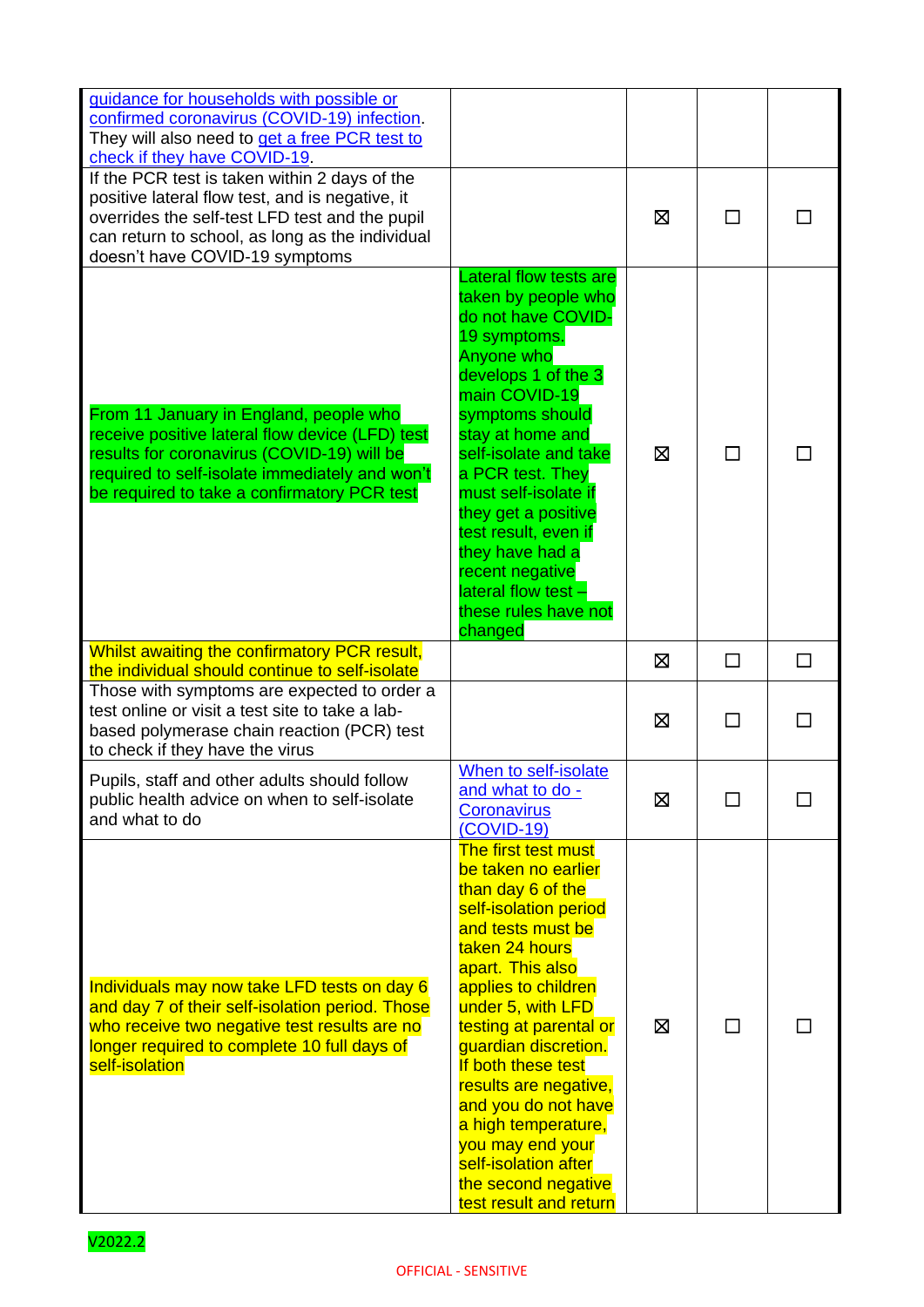| guidance for households with possible or<br>confirmed coronavirus (COVID-19) infection.<br>They will also need to get a free PCR test to<br>check if they have COVID-19.                                                                 |                                                                                                                                                                                                                                                                                                                                                                                                                                             |   |        |  |
|------------------------------------------------------------------------------------------------------------------------------------------------------------------------------------------------------------------------------------------|---------------------------------------------------------------------------------------------------------------------------------------------------------------------------------------------------------------------------------------------------------------------------------------------------------------------------------------------------------------------------------------------------------------------------------------------|---|--------|--|
| If the PCR test is taken within 2 days of the<br>positive lateral flow test, and is negative, it<br>overrides the self-test LFD test and the pupil<br>can return to school, as long as the individual<br>doesn't have COVID-19 symptoms  |                                                                                                                                                                                                                                                                                                                                                                                                                                             | X | П      |  |
| From 11 January in England, people who<br>receive positive lateral flow device (LFD) test<br>results for coronavirus (COVID-19) will be<br>required to self-isolate immediately and won't<br>be required to take a confirmatory PCR test | <b>Lateral flow tests are</b><br>taken by people who<br>do not have COVID-<br>19 symptoms.<br>Anyone who<br>develops 1 of the 3<br>main COVID-19<br>symptoms should<br>stay at home and<br>self-isolate and take<br>a PCR test. They<br>must self-isolate if<br>they get a positive<br>test result, even if<br>they have had a<br>recent negative<br>lateral flow test -<br>these rules have not<br>changed                                 | X | П      |  |
| Whilst awaiting the confirmatory PCR result,<br>the individual should continue to self-isolate                                                                                                                                           |                                                                                                                                                                                                                                                                                                                                                                                                                                             | X | $\Box$ |  |
| Those with symptoms are expected to order a<br>test online or visit a test site to take a lab-<br>based polymerase chain reaction (PCR) test<br>to check if they have the virus                                                          |                                                                                                                                                                                                                                                                                                                                                                                                                                             | ⊠ | ΙI     |  |
| Pupils, staff and other adults should follow<br>public health advice on when to self-isolate<br>and what to do                                                                                                                           | When to self-isolate<br>and what to do -<br>Coronavirus<br>$(COVID-19)$                                                                                                                                                                                                                                                                                                                                                                     | X | П      |  |
| Individuals may now take LFD tests on day 6<br>and day 7 of their self-isolation period. Those<br>who receive two negative test results are no<br>longer required to complete 10 full days of<br>self-isolation                          | The first test must<br>be taken no earlier<br>than day 6 of the<br>self-isolation period<br>and tests must be<br>taken 24 hours<br>apart. This also<br>applies to children<br>under 5, with LFD<br>testing at parental or<br>guardian discretion.<br>If both these test<br>results are negative,<br>and you do not have<br>a high temperature,<br>you may end your<br>self-isolation after<br>the second negative<br>test result and return | X | ΙI     |  |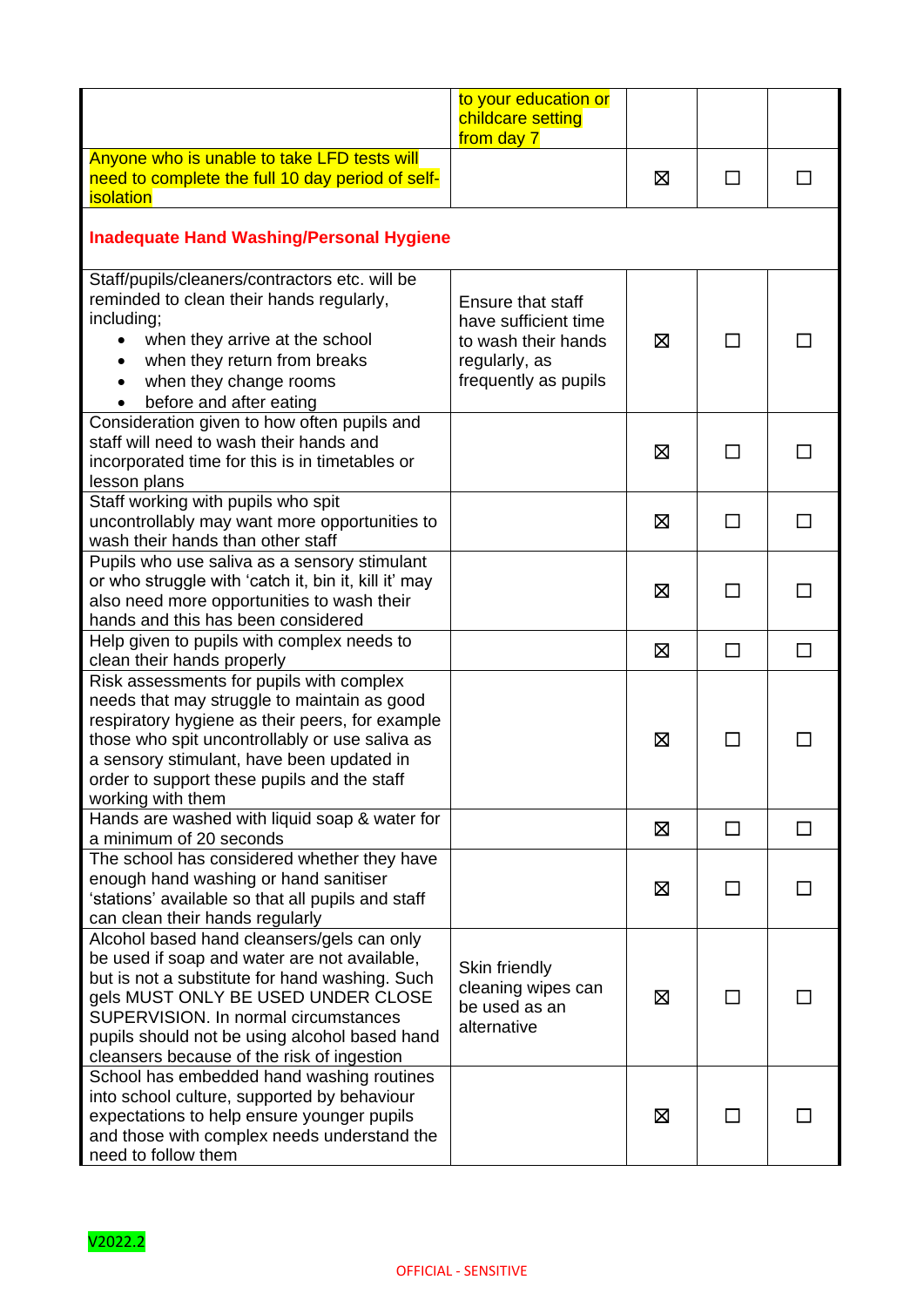|                                                                                                                                                                                                                                                                                                                           | to your education or<br>childcare setting<br>from day 7                                                   |   |              |   |  |
|---------------------------------------------------------------------------------------------------------------------------------------------------------------------------------------------------------------------------------------------------------------------------------------------------------------------------|-----------------------------------------------------------------------------------------------------------|---|--------------|---|--|
| Anyone who is unable to take LFD tests will<br>need to complete the full 10 day period of self-<br><b>isolation</b>                                                                                                                                                                                                       |                                                                                                           | 区 | $\Box$       |   |  |
| <b>Inadequate Hand Washing/Personal Hygiene</b>                                                                                                                                                                                                                                                                           |                                                                                                           |   |              |   |  |
| Staff/pupils/cleaners/contractors etc. will be<br>reminded to clean their hands regularly,<br>including;<br>when they arrive at the school<br>when they return from breaks<br>when they change rooms<br>before and after eating                                                                                           | Ensure that staff<br>have sufficient time<br>to wash their hands<br>regularly, as<br>frequently as pupils | ⊠ | $\Box$       |   |  |
| Consideration given to how often pupils and<br>staff will need to wash their hands and<br>incorporated time for this is in timetables or<br>lesson plans                                                                                                                                                                  |                                                                                                           | X | П            |   |  |
| Staff working with pupils who spit<br>uncontrollably may want more opportunities to<br>wash their hands than other staff                                                                                                                                                                                                  |                                                                                                           | 区 | П            |   |  |
| Pupils who use saliva as a sensory stimulant<br>or who struggle with 'catch it, bin it, kill it' may<br>also need more opportunities to wash their<br>hands and this has been considered                                                                                                                                  |                                                                                                           | X | П            |   |  |
| Help given to pupils with complex needs to<br>clean their hands properly                                                                                                                                                                                                                                                  |                                                                                                           | ⊠ | $\Box$       |   |  |
| Risk assessments for pupils with complex<br>needs that may struggle to maintain as good<br>respiratory hygiene as their peers, for example<br>those who spit uncontrollably or use saliva as<br>a sensory stimulant, have been updated in<br>order to support these pupils and the staff<br>working with them             |                                                                                                           | ⊠ | $\mathbf{L}$ |   |  |
| Hands are washed with liquid soap & water for<br>a minimum of 20 seconds                                                                                                                                                                                                                                                  |                                                                                                           | Ø | $\Box$       | П |  |
| The school has considered whether they have<br>enough hand washing or hand sanitiser<br>'stations' available so that all pupils and staff<br>can clean their hands regularly                                                                                                                                              |                                                                                                           | ⊠ | $\Box$       |   |  |
| Alcohol based hand cleansers/gels can only<br>be used if soap and water are not available,<br>but is not a substitute for hand washing. Such<br>gels MUST ONLY BE USED UNDER CLOSE<br>SUPERVISION. In normal circumstances<br>pupils should not be using alcohol based hand<br>cleansers because of the risk of ingestion | Skin friendly<br>cleaning wipes can<br>be used as an<br>alternative                                       | ⊠ | ΙI           |   |  |
| School has embedded hand washing routines<br>into school culture, supported by behaviour<br>expectations to help ensure younger pupils<br>and those with complex needs understand the<br>need to follow them                                                                                                              |                                                                                                           | ⊠ | П            |   |  |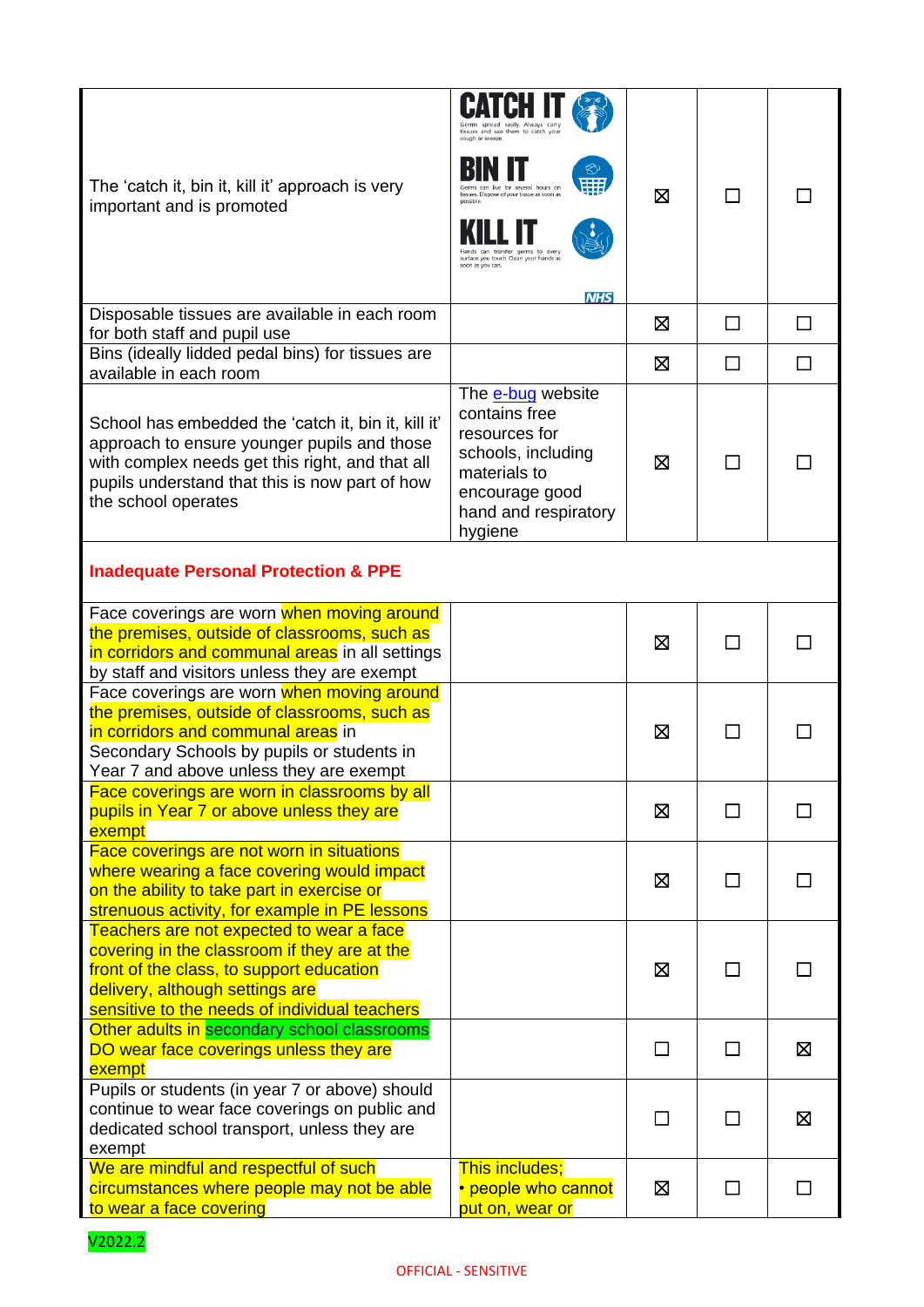| The 'catch it, bin it, kill it' approach is very<br>important and is promoted                                                                                                                                                  | Germs spread easily. Always carry<br>tissues and use them to catch you<br>cough or sneeze.<br>hours or<br>tissues. Dispose of your tissue as soon as<br>transfer germs to ever<br>surface you touch. Clean your hands as<br>soon as you can.<br><b>NHS</b> | ⊠           | П      |         |
|--------------------------------------------------------------------------------------------------------------------------------------------------------------------------------------------------------------------------------|------------------------------------------------------------------------------------------------------------------------------------------------------------------------------------------------------------------------------------------------------------|-------------|--------|---------|
| Disposable tissues are available in each room<br>for both staff and pupil use                                                                                                                                                  |                                                                                                                                                                                                                                                            | ⊠           | $\Box$ | ΙI      |
| Bins (ideally lidded pedal bins) for tissues are<br>available in each room                                                                                                                                                     |                                                                                                                                                                                                                                                            | ⊠           | $\Box$ | $\perp$ |
| School has embedded the 'catch it, bin it, kill it'<br>approach to ensure younger pupils and those<br>with complex needs get this right, and that all<br>pupils understand that this is now part of how<br>the school operates | The e-bug website<br>contains free<br>resources for<br>schools, including<br>materials to<br>encourage good<br>hand and respiratory<br>hygiene                                                                                                             | X           | П      |         |
| <b>Inadequate Personal Protection &amp; PPE</b>                                                                                                                                                                                |                                                                                                                                                                                                                                                            |             |        |         |
| Face coverings are worn when moving around<br>the premises, outside of classrooms, such as<br>in corridors and communal areas in all settings<br>by staff and visitors unless they are exempt                                  |                                                                                                                                                                                                                                                            | X           | П      |         |
| Face coverings are worn when moving around<br>the premises, outside of classrooms, such as<br>in corridors and communal areas in<br>Secondary Schools by pupils or students in<br>Year 7 and above unless they are exempt      |                                                                                                                                                                                                                                                            | X           | П      |         |
| Face coverings are worn in classrooms by all<br>pupils in Year 7 or above unless they are<br>exempt                                                                                                                            |                                                                                                                                                                                                                                                            | 区           | $\Box$ |         |
| Face coverings are not worn in situations<br>where wearing a face covering would impact<br>on the ability to take part in exercise or<br>strenuous activity, for example in PE lessons                                         |                                                                                                                                                                                                                                                            | X           | $\Box$ |         |
| Teachers are not expected to wear a face<br>covering in the classroom if they are at the<br>front of the class, to support education<br>delivery, although settings are<br>sensitive to the needs of individual teachers       |                                                                                                                                                                                                                                                            | X           | П      |         |
| Other adults in secondary school classrooms<br>DO wear face coverings unless they are<br>exempt                                                                                                                                |                                                                                                                                                                                                                                                            | П           | П      | Ø       |
| Pupils or students (in year 7 or above) should<br>continue to wear face coverings on public and<br>dedicated school transport, unless they are<br>exempt                                                                       |                                                                                                                                                                                                                                                            | ΙI          | П      | ⊠       |
| We are mindful and respectful of such<br>circumstances where people may not be able<br>to wear a face covering                                                                                                                 | <b>This includes;</b><br>• people who cannot<br>put on, wear or                                                                                                                                                                                            | $\boxtimes$ | $\Box$ |         |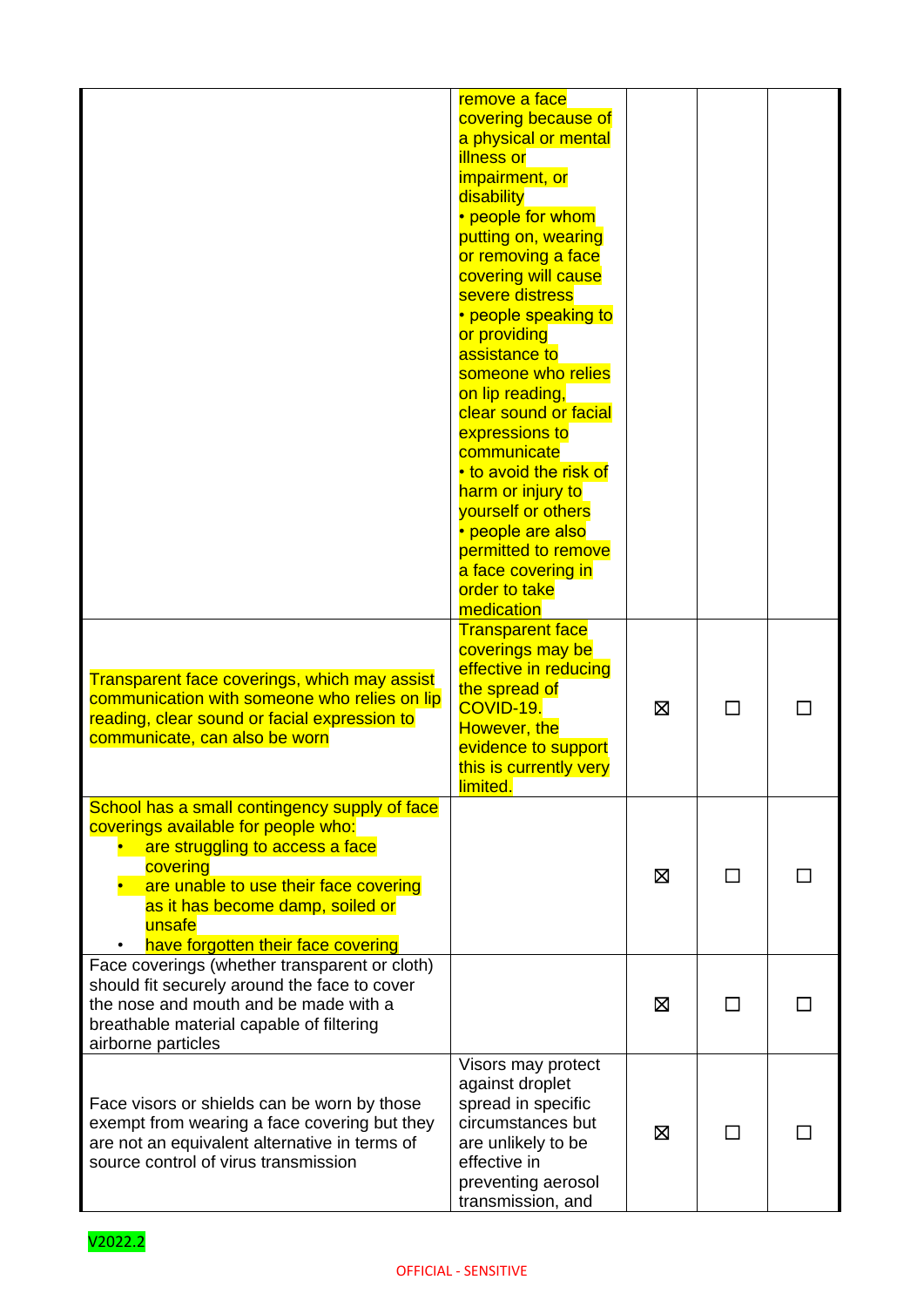|                                                                                                                                                                                                                                                                  | remove a face<br>covering because of<br>a physical or mental<br><b>illness or</b><br>impairment, or<br>disability<br>• people for whom<br>putting on, wearing<br>or removing a face<br>covering will cause<br>severe distress<br>• people speaking to<br>or providing<br>assistance to<br>someone who relies<br>on lip reading,<br>clear sound or facial<br>expressions to<br>communicate<br>• to avoid the risk of<br>harm or injury to<br>yourself or others<br>• people are also<br>permitted to remove<br>a face covering in<br>order to take<br>medication<br><b>Transparent face</b> |             |              |  |
|------------------------------------------------------------------------------------------------------------------------------------------------------------------------------------------------------------------------------------------------------------------|--------------------------------------------------------------------------------------------------------------------------------------------------------------------------------------------------------------------------------------------------------------------------------------------------------------------------------------------------------------------------------------------------------------------------------------------------------------------------------------------------------------------------------------------------------------------------------------------|-------------|--------------|--|
| <b>Transparent face coverings, which may assist</b><br>communication with someone who relies on lip<br>reading, clear sound or facial expression to<br>communicate, can also be worn                                                                             | coverings may be<br>effective in reducing<br>the spread of<br>COVID-19.<br>However, the<br>evidence to support<br>this is currently very<br><u>limited.</u>                                                                                                                                                                                                                                                                                                                                                                                                                                | $\boxtimes$ | $\Box$       |  |
| School has a small contingency supply of face<br>coverings available for people who:<br>are struggling to access a face<br>covering<br>are unable to use their face covering<br>as it has become damp, soiled or<br>unsafe<br>have forgotten their face covering |                                                                                                                                                                                                                                                                                                                                                                                                                                                                                                                                                                                            | X           | $\Box$       |  |
| Face coverings (whether transparent or cloth)<br>should fit securely around the face to cover<br>the nose and mouth and be made with a<br>breathable material capable of filtering<br>airborne particles                                                         |                                                                                                                                                                                                                                                                                                                                                                                                                                                                                                                                                                                            | ⊠           | ΙI           |  |
| Face visors or shields can be worn by those<br>exempt from wearing a face covering but they<br>are not an equivalent alternative in terms of<br>source control of virus transmission                                                                             | Visors may protect<br>against droplet<br>spread in specific<br>circumstances but<br>are unlikely to be<br>effective in<br>preventing aerosol<br>transmission, and                                                                                                                                                                                                                                                                                                                                                                                                                          | X           | $\mathsf{L}$ |  |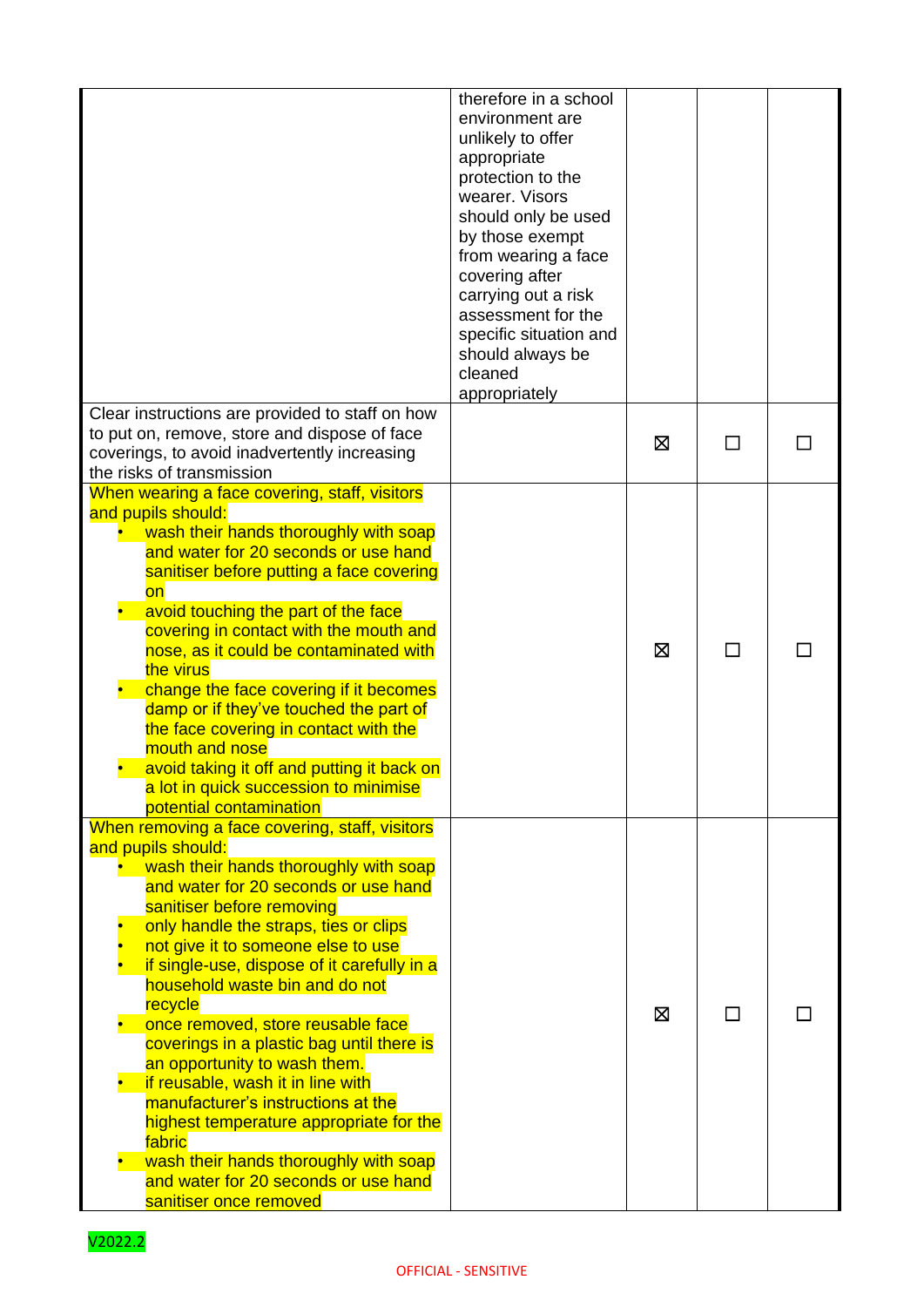|                                                                            | therefore in a school<br>environment are<br>unlikely to offer<br>appropriate<br>protection to the<br>wearer. Visors<br>should only be used<br>by those exempt<br>from wearing a face<br>covering after<br>carrying out a risk<br>assessment for the<br>specific situation and<br>should always be<br>cleaned<br>appropriately |   |              |  |
|----------------------------------------------------------------------------|-------------------------------------------------------------------------------------------------------------------------------------------------------------------------------------------------------------------------------------------------------------------------------------------------------------------------------|---|--------------|--|
| Clear instructions are provided to staff on how                            |                                                                                                                                                                                                                                                                                                                               |   |              |  |
| to put on, remove, store and dispose of face                               |                                                                                                                                                                                                                                                                                                                               | X | $\mathbf{I}$ |  |
| coverings, to avoid inadvertently increasing                               |                                                                                                                                                                                                                                                                                                                               |   |              |  |
| the risks of transmission<br>When wearing a face covering, staff, visitors |                                                                                                                                                                                                                                                                                                                               |   |              |  |
| and pupils should:                                                         |                                                                                                                                                                                                                                                                                                                               |   |              |  |
| wash their hands thoroughly with soap                                      |                                                                                                                                                                                                                                                                                                                               |   |              |  |
| and water for 20 seconds or use hand                                       |                                                                                                                                                                                                                                                                                                                               |   |              |  |
| sanitiser before putting a face covering                                   |                                                                                                                                                                                                                                                                                                                               |   |              |  |
| on                                                                         |                                                                                                                                                                                                                                                                                                                               |   |              |  |
| avoid touching the part of the face                                        |                                                                                                                                                                                                                                                                                                                               |   |              |  |
| covering in contact with the mouth and                                     |                                                                                                                                                                                                                                                                                                                               |   |              |  |
| nose, as it could be contaminated with                                     |                                                                                                                                                                                                                                                                                                                               | X | $\Box$       |  |
| the virus                                                                  |                                                                                                                                                                                                                                                                                                                               |   |              |  |
| change the face covering if it becomes                                     |                                                                                                                                                                                                                                                                                                                               |   |              |  |
| damp or if they've touched the part of                                     |                                                                                                                                                                                                                                                                                                                               |   |              |  |
| the face covering in contact with the                                      |                                                                                                                                                                                                                                                                                                                               |   |              |  |
| mouth and nose                                                             |                                                                                                                                                                                                                                                                                                                               |   |              |  |
| avoid taking it off and putting it back on                                 |                                                                                                                                                                                                                                                                                                                               |   |              |  |
| a lot in quick succession to minimise                                      |                                                                                                                                                                                                                                                                                                                               |   |              |  |
| potential contamination                                                    |                                                                                                                                                                                                                                                                                                                               |   |              |  |
| When removing a face covering, staff, visitors                             |                                                                                                                                                                                                                                                                                                                               |   |              |  |
| and pupils should:                                                         |                                                                                                                                                                                                                                                                                                                               |   |              |  |
| wash their hands thoroughly with soap                                      |                                                                                                                                                                                                                                                                                                                               |   |              |  |
| and water for 20 seconds or use hand                                       |                                                                                                                                                                                                                                                                                                                               |   |              |  |
| sanitiser before removing                                                  |                                                                                                                                                                                                                                                                                                                               |   |              |  |
| only handle the straps, ties or clips                                      |                                                                                                                                                                                                                                                                                                                               |   |              |  |
| not give it to someone else to use                                         |                                                                                                                                                                                                                                                                                                                               |   |              |  |
| if single-use, dispose of it carefully in a                                |                                                                                                                                                                                                                                                                                                                               |   |              |  |
| household waste bin and do not                                             |                                                                                                                                                                                                                                                                                                                               |   |              |  |
| recycle                                                                    |                                                                                                                                                                                                                                                                                                                               | ⊠ | П            |  |
| once removed, store reusable face                                          |                                                                                                                                                                                                                                                                                                                               |   |              |  |
| coverings in a plastic bag until there is<br>an opportunity to wash them.  |                                                                                                                                                                                                                                                                                                                               |   |              |  |
| if reusable, wash it in line with                                          |                                                                                                                                                                                                                                                                                                                               |   |              |  |
| manufacturer's instructions at the                                         |                                                                                                                                                                                                                                                                                                                               |   |              |  |
| highest temperature appropriate for the                                    |                                                                                                                                                                                                                                                                                                                               |   |              |  |
| fabric                                                                     |                                                                                                                                                                                                                                                                                                                               |   |              |  |
| wash their hands thoroughly with soap                                      |                                                                                                                                                                                                                                                                                                                               |   |              |  |
| and water for 20 seconds or use hand                                       |                                                                                                                                                                                                                                                                                                                               |   |              |  |
| sanitiser once removed                                                     |                                                                                                                                                                                                                                                                                                                               |   |              |  |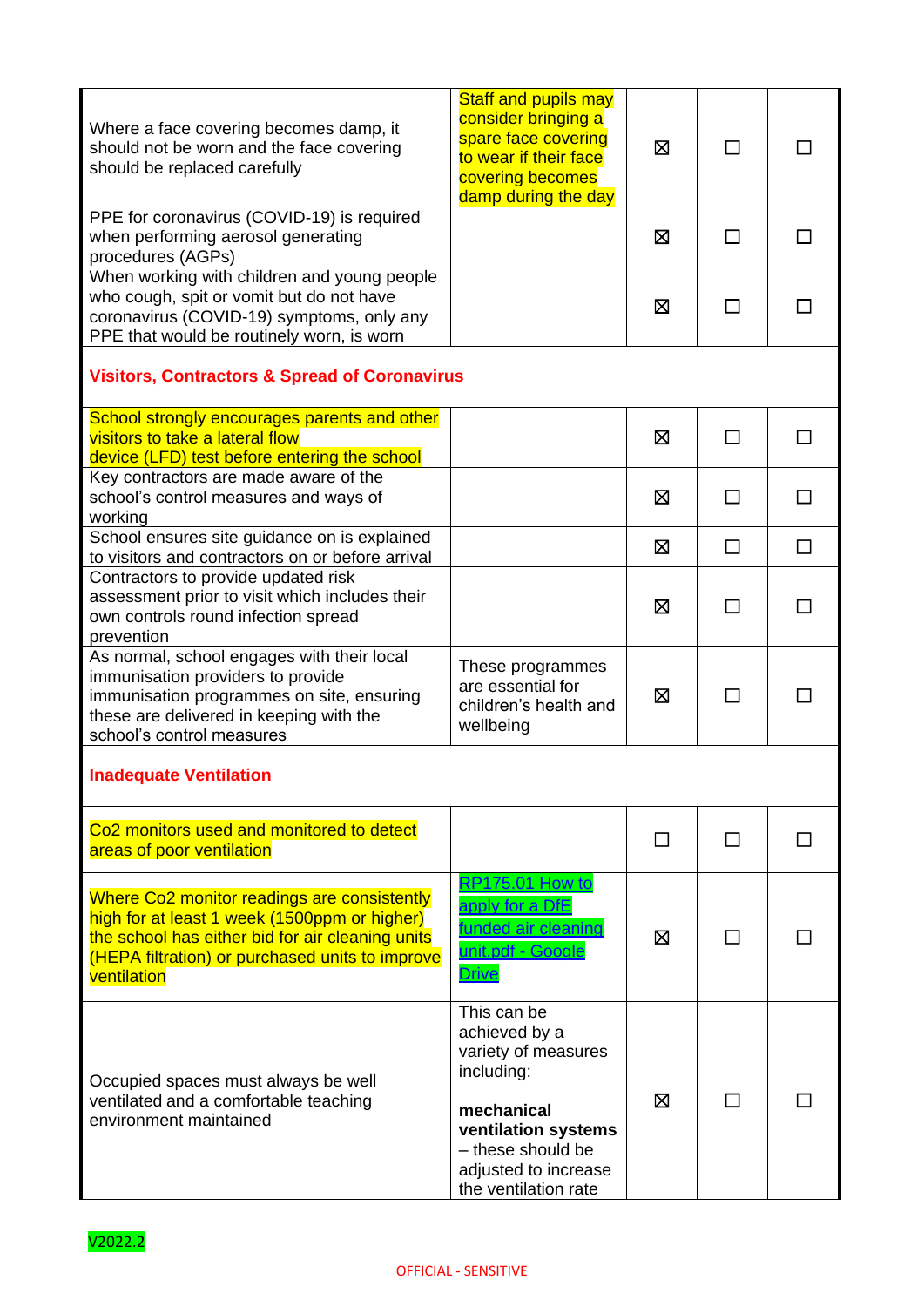| Where a face covering becomes damp, it<br>should not be worn and the face covering<br>should be replaced carefully                                                                                                | <b>Staff and pupils may</b><br>consider bringing a<br>spare face covering<br>to wear if their face<br>covering becomes<br>damp during the day                               | X           | П            |     |
|-------------------------------------------------------------------------------------------------------------------------------------------------------------------------------------------------------------------|-----------------------------------------------------------------------------------------------------------------------------------------------------------------------------|-------------|--------------|-----|
| PPE for coronavirus (COVID-19) is required<br>when performing aerosol generating<br>procedures (AGPs)                                                                                                             |                                                                                                                                                                             | X           | $\Box$       |     |
| When working with children and young people<br>who cough, spit or vomit but do not have<br>coronavirus (COVID-19) symptoms, only any<br>PPE that would be routinely worn, is worn                                 |                                                                                                                                                                             | X           | П            |     |
| <b>Visitors, Contractors &amp; Spread of Coronavirus</b>                                                                                                                                                          |                                                                                                                                                                             |             |              |     |
| School strongly encourages parents and other<br>visitors to take a lateral flow<br>device (LFD) test before entering the school                                                                                   |                                                                                                                                                                             | $\boxtimes$ | П            |     |
| Key contractors are made aware of the<br>school's control measures and ways of<br>working                                                                                                                         |                                                                                                                                                                             | X           | □            | l 1 |
| School ensures site guidance on is explained<br>to visitors and contractors on or before arrival                                                                                                                  |                                                                                                                                                                             | ⊠           | $\Box$       | □   |
| Contractors to provide updated risk<br>assessment prior to visit which includes their<br>own controls round infection spread<br>prevention                                                                        |                                                                                                                                                                             | X           | П            |     |
| As normal, school engages with their local<br>immunisation providers to provide<br>immunisation programmes on site, ensuring<br>these are delivered in keeping with the<br>school's control measures              | These programmes<br>are essential for<br>children's health and<br>wellbeing                                                                                                 | ⊠           | ΙI           |     |
| <b>Inadequate Ventilation</b>                                                                                                                                                                                     |                                                                                                                                                                             |             |              |     |
| Co <sub>2</sub> monitors used and monitored to detect<br>areas of poor ventilation                                                                                                                                |                                                                                                                                                                             |             | ΙI           |     |
| Where Co2 monitor readings are consistently<br>high for at least 1 week (1500ppm or higher)<br>the school has either bid for air cleaning units<br>(HEPA filtration) or purchased units to improve<br>ventilation | <b>RP175.01 How to</b><br>apply for a DfE<br>funded air cleaning<br>unit.pdf - Google<br><b>Drive</b>                                                                       | ⊠           | $\mathsf{L}$ |     |
| Occupied spaces must always be well<br>ventilated and a comfortable teaching<br>environment maintained                                                                                                            | This can be<br>achieved by a<br>variety of measures<br>including:<br>mechanical<br>ventilation systems<br>- these should be<br>adjusted to increase<br>the ventilation rate | X           |              |     |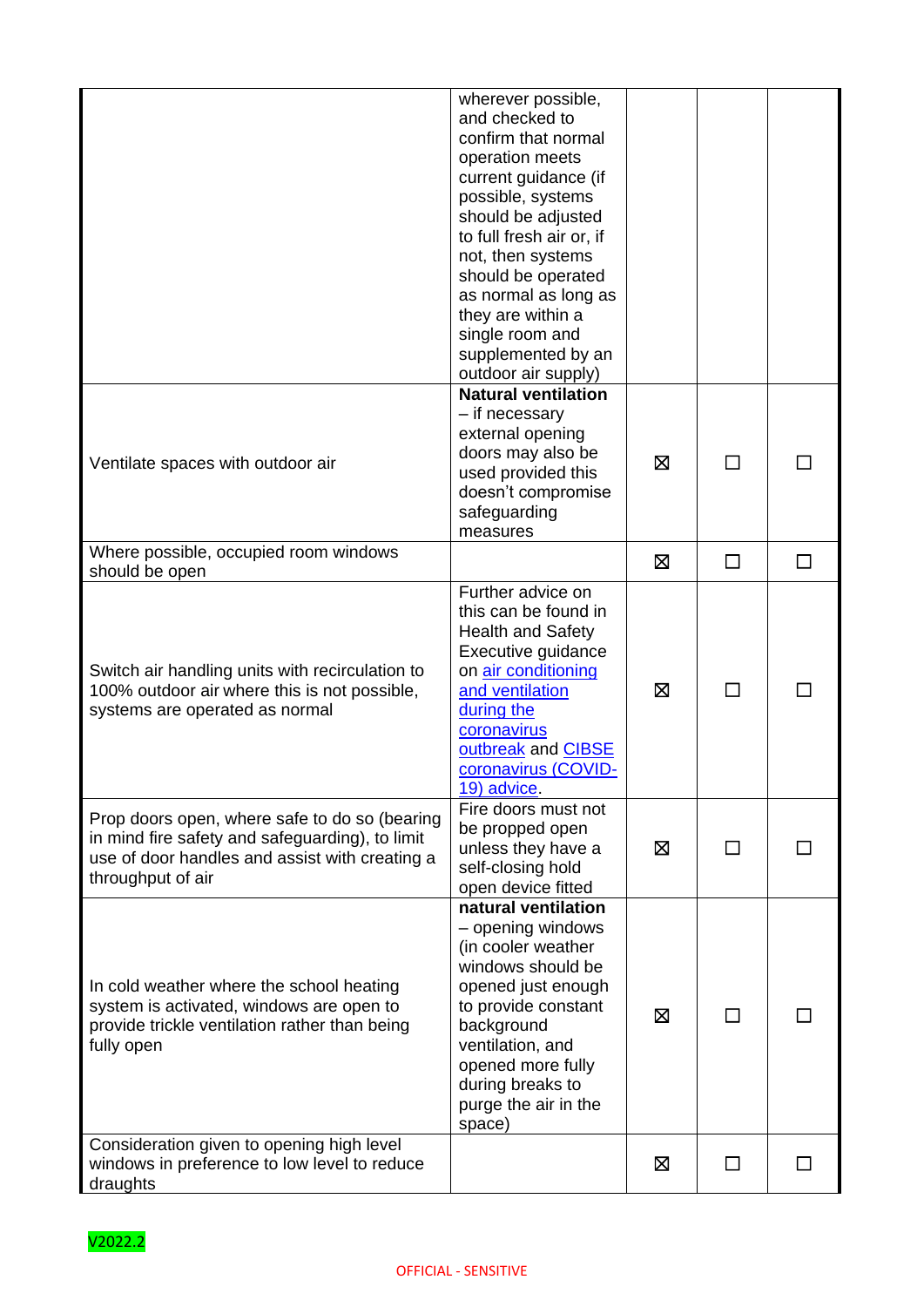|                                                                                                                                                                         | wherever possible,<br>and checked to<br>confirm that normal<br>operation meets<br>current guidance (if<br>possible, systems<br>should be adjusted<br>to full fresh air or, if<br>not, then systems<br>should be operated<br>as normal as long as<br>they are within a<br>single room and<br>supplemented by an<br>outdoor air supply) |   |        |   |
|-------------------------------------------------------------------------------------------------------------------------------------------------------------------------|---------------------------------------------------------------------------------------------------------------------------------------------------------------------------------------------------------------------------------------------------------------------------------------------------------------------------------------|---|--------|---|
| Ventilate spaces with outdoor air                                                                                                                                       | <b>Natural ventilation</b><br>- if necessary<br>external opening<br>doors may also be<br>used provided this<br>doesn't compromise<br>safeguarding<br>measures                                                                                                                                                                         | 区 | $\Box$ |   |
| Where possible, occupied room windows<br>should be open                                                                                                                 |                                                                                                                                                                                                                                                                                                                                       | Ø | $\Box$ | П |
| Switch air handling units with recirculation to<br>100% outdoor air where this is not possible,<br>systems are operated as normal                                       | Further advice on<br>this can be found in<br><b>Health and Safety</b><br>Executive guidance<br>on air conditioning<br>and ventilation<br>during the<br>coronavirus<br>outbreak and CIBSE<br>coronavirus (COVID-<br>19) advice.                                                                                                        | 区 | ΙI     |   |
| Prop doors open, where safe to do so (bearing<br>in mind fire safety and safeguarding), to limit<br>use of door handles and assist with creating a<br>throughput of air | Fire doors must not<br>be propped open<br>unless they have a<br>self-closing hold<br>open device fitted                                                                                                                                                                                                                               | Ø |        |   |
| In cold weather where the school heating<br>system is activated, windows are open to<br>provide trickle ventilation rather than being<br>fully open                     | natural ventilation<br>- opening windows<br>(in cooler weather<br>windows should be<br>opened just enough<br>to provide constant<br>background<br>ventilation, and<br>opened more fully<br>during breaks to<br>purge the air in the<br>space)                                                                                         | 区 |        |   |
| Consideration given to opening high level<br>windows in preference to low level to reduce<br>draughts                                                                   |                                                                                                                                                                                                                                                                                                                                       | ⊠ |        |   |

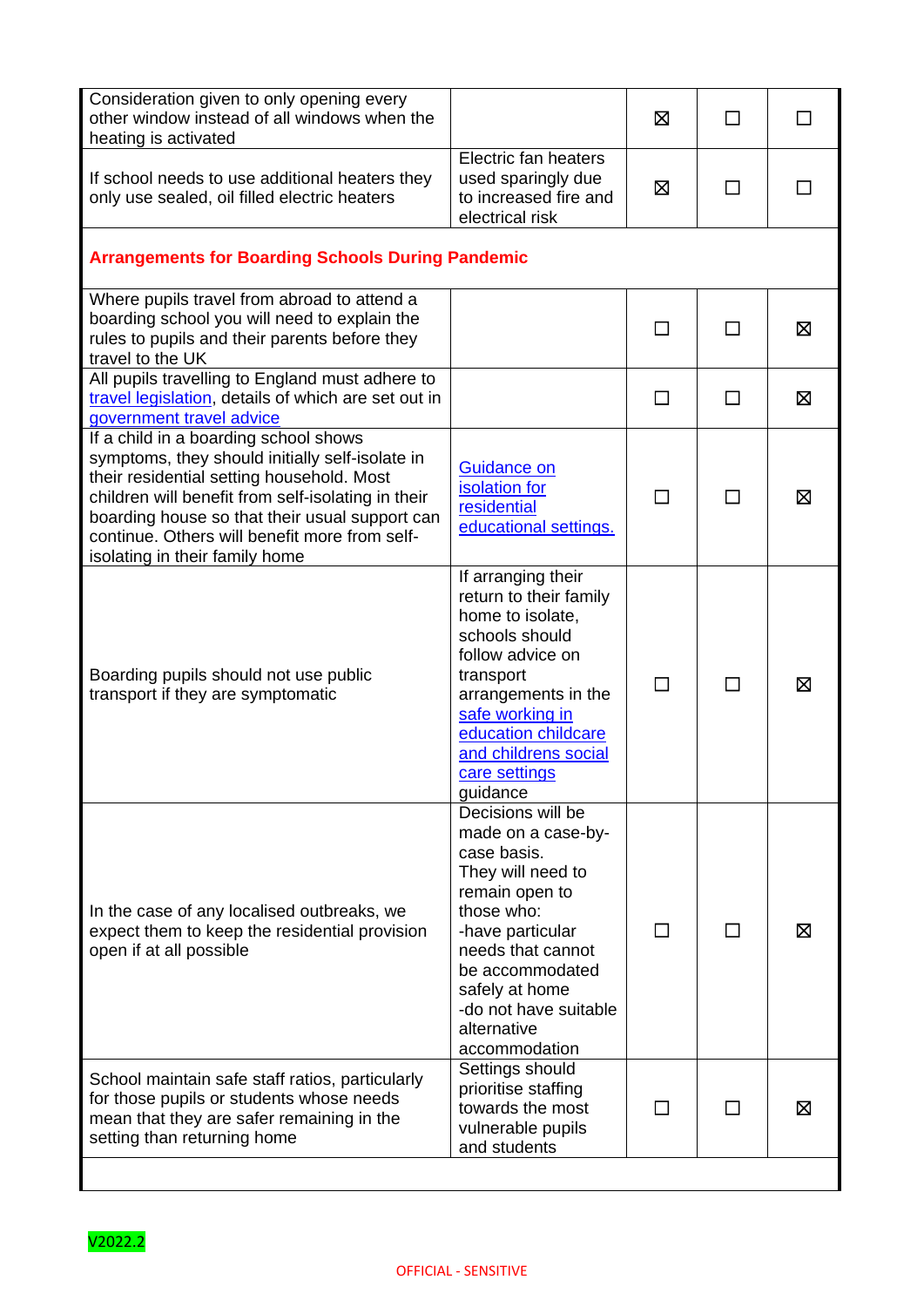| Consideration given to only opening every<br>other window instead of all windows when the<br>heating is activated                                                                                                                                                                                                                |                                                                                                                                                                                                                                                    | X            | П  |   |
|----------------------------------------------------------------------------------------------------------------------------------------------------------------------------------------------------------------------------------------------------------------------------------------------------------------------------------|----------------------------------------------------------------------------------------------------------------------------------------------------------------------------------------------------------------------------------------------------|--------------|----|---|
| If school needs to use additional heaters they<br>only use sealed, oil filled electric heaters                                                                                                                                                                                                                                   | Electric fan heaters<br>used sparingly due<br>to increased fire and<br>electrical risk                                                                                                                                                             | ⊠            | ΙI |   |
| <b>Arrangements for Boarding Schools During Pandemic</b>                                                                                                                                                                                                                                                                         |                                                                                                                                                                                                                                                    |              |    |   |
| Where pupils travel from abroad to attend a<br>boarding school you will need to explain the<br>rules to pupils and their parents before they<br>travel to the UK                                                                                                                                                                 |                                                                                                                                                                                                                                                    |              | П  | ⊠ |
| All pupils travelling to England must adhere to<br>travel legislation, details of which are set out in<br>government travel advice                                                                                                                                                                                               |                                                                                                                                                                                                                                                    |              | П  | ⊠ |
| If a child in a boarding school shows<br>symptoms, they should initially self-isolate in<br>their residential setting household. Most<br>children will benefit from self-isolating in their<br>boarding house so that their usual support can<br>continue. Others will benefit more from self-<br>isolating in their family home | <b>Guidance on</b><br>isolation for<br>residential<br>educational settings.                                                                                                                                                                        |              | ΙI | ⊠ |
| Boarding pupils should not use public<br>transport if they are symptomatic                                                                                                                                                                                                                                                       | If arranging their<br>return to their family<br>home to isolate,<br>schools should<br>follow advice on<br>transport<br>arrangements in the<br>safe working in<br>education childcare<br>and childrens social<br>care settings<br>guidance          | $\mathsf{L}$ | ΙI | ⊠ |
| In the case of any localised outbreaks, we<br>expect them to keep the residential provision<br>open if at all possible                                                                                                                                                                                                           | Decisions will be<br>made on a case-by-<br>case basis.<br>They will need to<br>remain open to<br>those who:<br>-have particular<br>needs that cannot<br>be accommodated<br>safely at home<br>-do not have suitable<br>alternative<br>accommodation |              |    | ⊠ |
| School maintain safe staff ratios, particularly<br>for those pupils or students whose needs<br>mean that they are safer remaining in the<br>setting than returning home                                                                                                                                                          | Settings should<br>prioritise staffing<br>towards the most<br>vulnerable pupils<br>and students                                                                                                                                                    |              | ΙI | ⊠ |
|                                                                                                                                                                                                                                                                                                                                  |                                                                                                                                                                                                                                                    |              |    |   |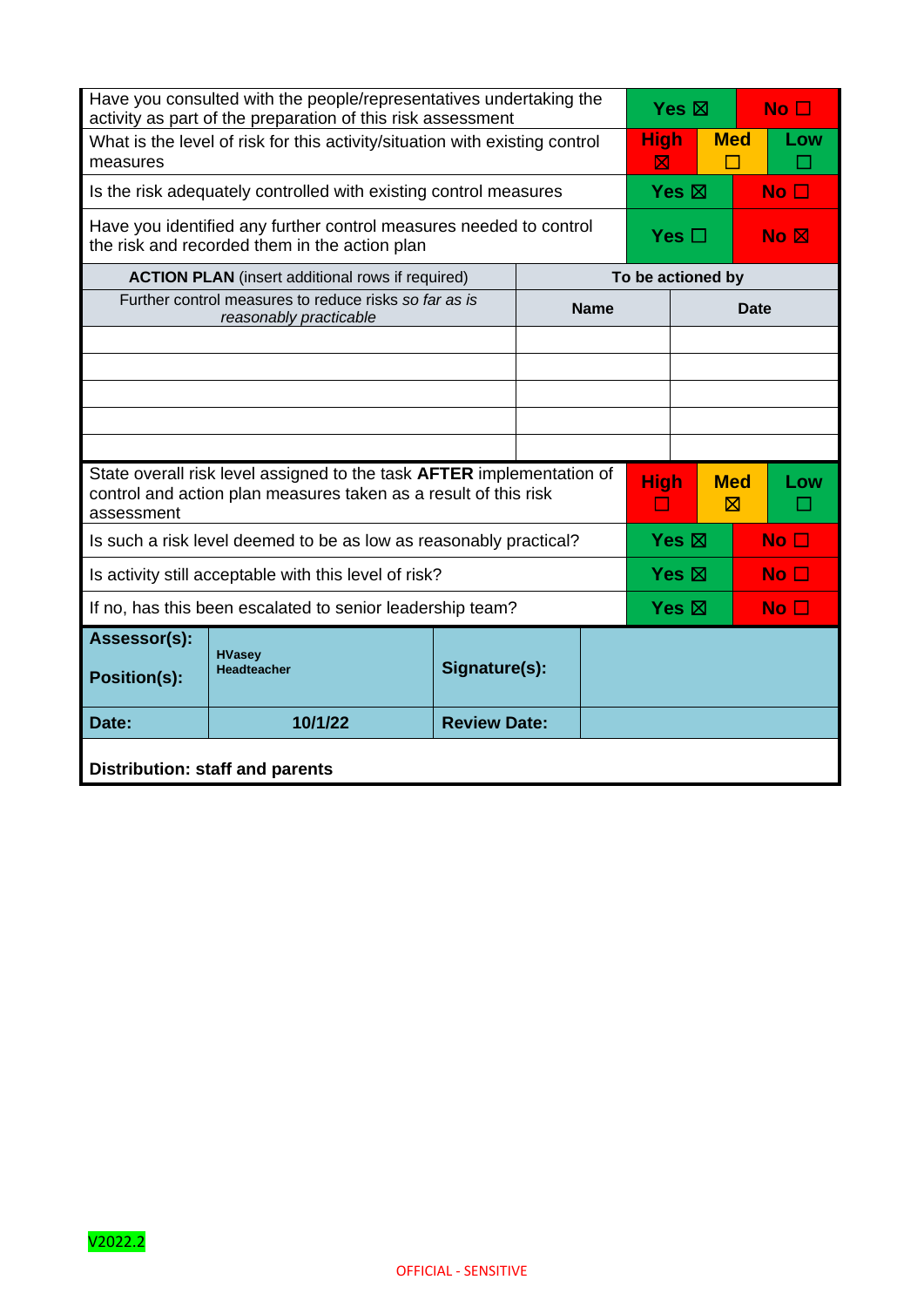| Have you consulted with the people/representatives undertaking the                                                                                     |                                                                                 |                     | Yes $\boxtimes$ |             | No $\square$      |                                     |              |      |
|--------------------------------------------------------------------------------------------------------------------------------------------------------|---------------------------------------------------------------------------------|---------------------|-----------------|-------------|-------------------|-------------------------------------|--------------|------|
| activity as part of the preparation of this risk assessment<br>What is the level of risk for this activity/situation with existing control<br>measures |                                                                                 |                     |                 |             |                   | <b>High</b>                         | <b>Med</b>   | Low  |
|                                                                                                                                                        | Is the risk adequately controlled with existing control measures                |                     |                 |             | Yes $\boxtimes$   |                                     | No $\square$ |      |
| Have you identified any further control measures needed to control<br>the risk and recorded them in the action plan                                    |                                                                                 |                     |                 |             | Yes $\Box$        |                                     |              | No R |
|                                                                                                                                                        | <b>ACTION PLAN</b> (insert additional rows if required)                         |                     |                 |             | To be actioned by |                                     |              |      |
|                                                                                                                                                        | Further control measures to reduce risks so far as is<br>reasonably practicable |                     |                 | <b>Name</b> |                   |                                     | Date         |      |
|                                                                                                                                                        |                                                                                 |                     |                 |             |                   |                                     |              |      |
|                                                                                                                                                        |                                                                                 |                     |                 |             |                   |                                     |              |      |
|                                                                                                                                                        |                                                                                 |                     |                 |             |                   |                                     |              |      |
|                                                                                                                                                        |                                                                                 |                     |                 |             |                   |                                     |              |      |
|                                                                                                                                                        |                                                                                 |                     |                 |             |                   |                                     |              |      |
| State overall risk level assigned to the task AFTER implementation of<br>control and action plan measures taken as a result of this risk<br>assessment |                                                                                 |                     |                 |             |                   | <b>High</b><br><b>Med</b><br>⊠<br>H |              | Low  |
| Yes $\boxtimes$<br>Is such a risk level deemed to be as low as reasonably practical?                                                                   |                                                                                 |                     |                 |             |                   |                                     | No $\Box$    |      |
| Is activity still acceptable with this level of risk?                                                                                                  |                                                                                 |                     |                 |             |                   | Yes $\boxtimes$<br>No <sub>1</sub>  |              |      |
| If no, has this been escalated to senior leadership team?                                                                                              |                                                                                 |                     |                 |             | Yes $\boxtimes$   |                                     | No $\Box$    |      |
| Assessor(s):<br><b>Position(s):</b>                                                                                                                    | <b>HVasey</b><br><b>Headteacher</b>                                             | Signature(s):       |                 |             |                   |                                     |              |      |
| Date:                                                                                                                                                  | 10/1/22                                                                         | <b>Review Date:</b> |                 |             |                   |                                     |              |      |
| Distribution: staff and parents                                                                                                                        |                                                                                 |                     |                 |             |                   |                                     |              |      |